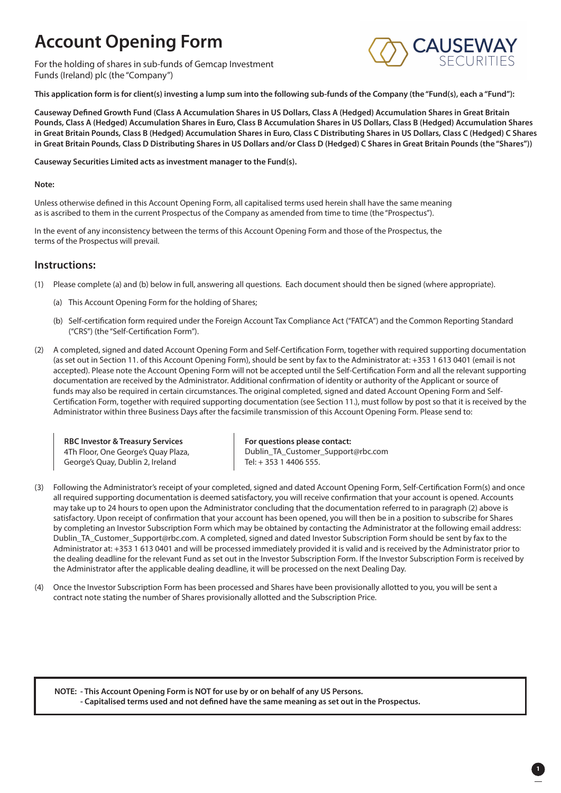# **Account Opening Form**

For the holding of shares in sub-funds of Gemcap Investment Funds (Ireland) plc (the "Company")



**This application form is for client(s) investing a lump sum into the following sub-funds of the Company (the "Fund(s), each a "Fund"):**

**Causeway Defined Growth Fund (Class A Accumulation Shares in US Dollars, Class A (Hedged) Accumulation Shares in Great Britain Pounds, Class A (Hedged) Accumulation Shares in Euro, Class B Accumulation Shares in US Dollars, Class B (Hedged) Accumulation Shares in Great Britain Pounds, Class B (Hedged) Accumulation Shares in Euro, Class C Distributing Shares in US Dollars, Class C (Hedged) C Shares in Great Britain Pounds, Class D Distributing Shares in US Dollars and/or Class D (Hedged) C Shares in Great Britain Pounds (the "Shares"))**

**Causeway Securities Limited acts as investment manager to the Fund(s).**

### **Note:**

Unless otherwise defined in this Account Opening Form, all capitalised terms used herein shall have the same meaning as is ascribed to them in the current Prospectus of the Company as amended from time to time (the "Prospectus").

In the event of any inconsistency between the terms of this Account Opening Form and those of the Prospectus, the terms of the Prospectus will prevail.

### **Instructions:**

- (1) Please complete (a) and (b) below in full, answering all questions. Each document should then be signed (where appropriate).
	- (a) This Account Opening Form for the holding of Shares;
	- (b) Self-certification form required under the Foreign Account Tax Compliance Act ("FATCA") and the Common Reporting Standard ("CRS") (the "Self-Certification Form").
- (2) A completed, signed and dated Account Opening Form and Self-Certification Form, together with required supporting documentation (as set out in Section 11. of this Account Opening Form), should be sent by fax to the Administrator at: +353 1 613 0401 (email is not accepted). Please note the Account Opening Form will not be accepted until the Self-Certification Form and all the relevant supporting documentation are received by the Administrator. Additional confirmation of identity or authority of the Applicant or source of funds may also be required in certain circumstances. The original completed, signed and dated Account Opening Form and Self-Certification Form, together with required supporting documentation (see Section 11.), must follow by post so that it is received by the Administrator within three Business Days after the facsimile transmission of this Account Opening Form. Please send to:

**RBC Investor & Treasury Services** 4Th Floor, One George's Quay Plaza, George's Quay, Dublin 2, Ireland

**For questions please contact:**  Dublin\_TA\_Customer\_Support@rbc.com Tel: + 353 1 4406 555.

- (3) Following the Administrator's receipt of your completed, signed and dated Account Opening Form, Self-Certification Form(s) and once all required supporting documentation is deemed satisfactory, you will receive confirmation that your account is opened. Accounts may take up to 24 hours to open upon the Administrator concluding that the documentation referred to in paragraph (2) above is satisfactory. Upon receipt of confirmation that your account has been opened, you will then be in a position to subscribe for Shares by completing an Investor Subscription Form which may be obtained by contacting the Administrator at the following email address: Dublin\_TA\_Customer\_Support@rbc.com. A completed, signed and dated Investor Subscription Form should be sent by fax to the Administrator at: +353 1 613 0401 and will be processed immediately provided it is valid and is received by the Administrator prior to the dealing deadline for the relevant Fund as set out in the Investor Subscription Form. If the Investor Subscription Form is received by the Administrator after the applicable dealing deadline, it will be processed on the next Dealing Day.
- (4) Once the Investor Subscription Form has been processed and Shares have been provisionally allotted to you, you will be sent a contract note stating the number of Shares provisionally allotted and the Subscription Price.

**NOTE: - This Account Opening Form is NOT for use by or on behalf of any US Persons.**

**- Capitalised terms used and not defined have the same meaning as set out in the Prospectus.**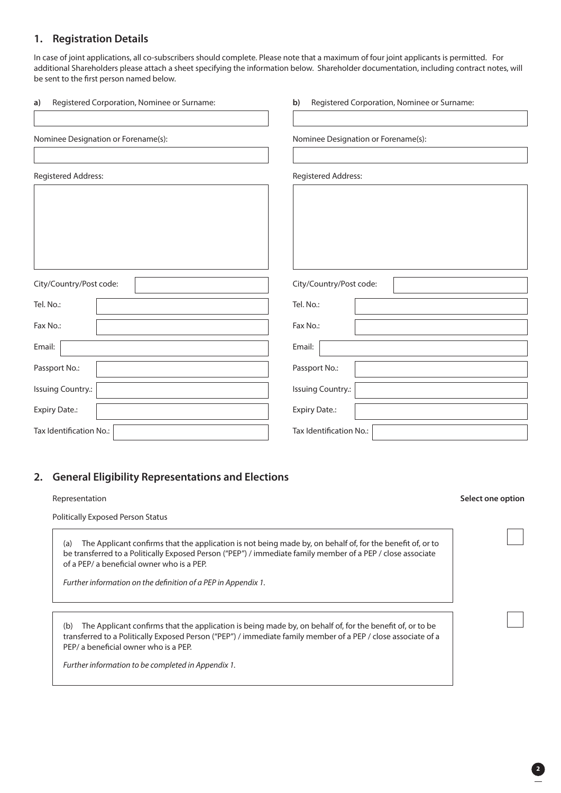### **1. Registration Details**

In case of joint applications, all co-subscribers should complete. Please note that a maximum of four joint applicants is permitted. For additional Shareholders please attach a sheet specifying the information below. Shareholder documentation, including contract notes, will be sent to the first person named below.

| Registered Corporation, Nominee or Surname:<br>a) | Registered Corporation, Nominee or Surname:<br>b) |
|---------------------------------------------------|---------------------------------------------------|
|                                                   |                                                   |
| Nominee Designation or Forename(s):               | Nominee Designation or Forename(s):               |
|                                                   |                                                   |
| Registered Address:                               | Registered Address:                               |
|                                                   |                                                   |
|                                                   |                                                   |
|                                                   |                                                   |
|                                                   |                                                   |
|                                                   |                                                   |
| City/Country/Post code:                           | City/Country/Post code:                           |
| Tel. No.:                                         | Tel. No.:                                         |
| Fax No.:                                          | Fax No.:                                          |
| Email:                                            | Email:                                            |
| Passport No.:                                     | Passport No.:                                     |
| Issuing Country.:                                 | <b>Issuing Country.:</b>                          |
| <b>Expiry Date.:</b>                              | <b>Expiry Date.:</b>                              |
| Tax Identification No.:                           | Tax Identification No.:                           |

### **2. General Eligibility Representations and Elections**

Politically Exposed Person Status

(a) The Applicant confirms that the application is not being made by, on behalf of, for the benefit of, or to be transferred to a Politically Exposed Person ("PEP") / immediate family member of a PEP / close associate of a PEP/ a beneficial owner who is a PEP.

*Further information on the definition of a PEP in Appendix 1.*

(b) The Applicant confirms that the application is being made by, on behalf of, for the benefit of, or to be transferred to a Politically Exposed Person ("PEP") / immediate family member of a PEP / close associate of a PEP/ a beneficial owner who is a PEP.

*Further information to be completed in Appendix 1.*

#### Representation **Select one option**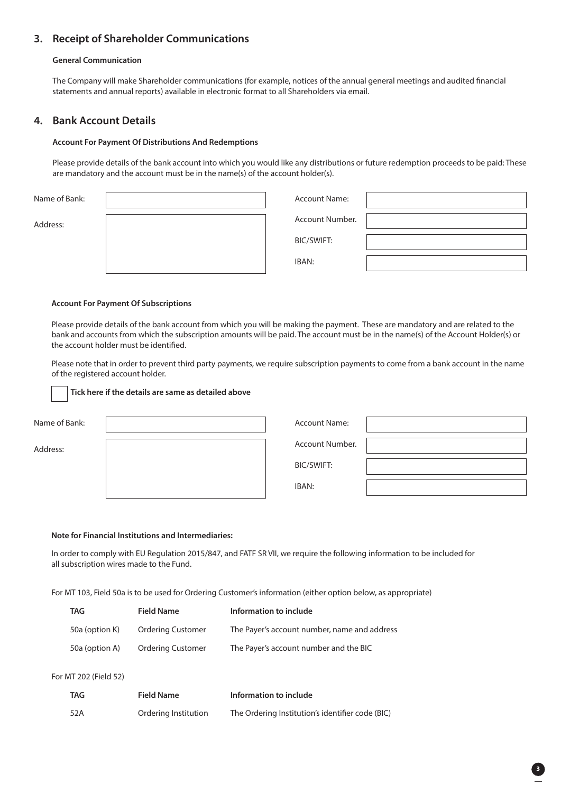### **3. Receipt of Shareholder Communications**

### **General Communication**

The Company will make Shareholder communications (for example, notices of the annual general meetings and audited financial statements and annual reports) available in electronic format to all Shareholders via email.

### **4. Bank Account Details**

#### **Account For Payment Of Distributions And Redemptions**

Please provide details of the bank account into which you would like any distributions or future redemption proceeds to be paid: These are mandatory and the account must be in the name(s) of the account holder(s).

| Name of Bank: | <b>Account Name:</b> |  |
|---------------|----------------------|--|
| Address:      | Account Number.      |  |
|               | BIC/SWIFT:           |  |
|               | IBAN:                |  |

#### **Account For Payment Of Subscriptions**

Please provide details of the bank account from which you will be making the payment. These are mandatory and are related to the bank and accounts from which the subscription amounts will be paid. The account must be in the name(s) of the Account Holder(s) or the account holder must be identified.

Please note that in order to prevent third party payments, we require subscription payments to come from a bank account in the name of the registered account holder.

### **Tick here if the details are same as detailed above**

| Name of Bank: |  |
|---------------|--|
|               |  |

Address:

| <b>Account Name:</b> |  |
|----------------------|--|
| Account Number.      |  |
| BIC/SWIFT:           |  |
| IBAN:                |  |

### **Note for Financial Institutions and Intermediaries:**

In order to comply with EU Regulation 2015/847, and FATF SR VII, we require the following information to be included for all subscription wires made to the Fund.

For MT 103, Field 50a is to be used for Ordering Customer's information (either option below, as appropriate)

| <b>TAG</b>     | <b>Field Name</b>        | Information to include                       |
|----------------|--------------------------|----------------------------------------------|
| 50a (option K) | <b>Ordering Customer</b> | The Payer's account number, name and address |
| 50a (option A) | <b>Ordering Customer</b> | The Payer's account number and the BIC       |

#### For MT 202 (Field 52)

| <b>TAG</b> | <b>Field Name</b>    | Information to include                           |
|------------|----------------------|--------------------------------------------------|
| 52A        | Ordering Institution | The Ordering Institution's identifier code (BIC) |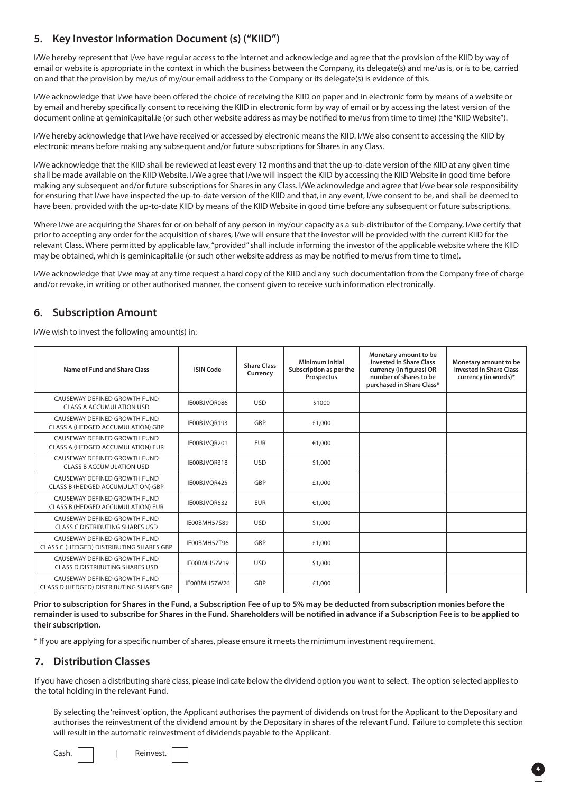### **5. Key Investor Information Document (s) ("KIID")**

I/We hereby represent that I/we have regular access to the internet and acknowledge and agree that the provision of the KIID by way of email or website is appropriate in the context in which the business between the Company, its delegate(s) and me/us is, or is to be, carried on and that the provision by me/us of my/our email address to the Company or its delegate(s) is evidence of this.

I/We acknowledge that I/we have been offered the choice of receiving the KIID on paper and in electronic form by means of a website or by email and hereby specifically consent to receiving the KIID in electronic form by way of email or by accessing the latest version of the document online at geminicapital.ie (or such other website address as may be notified to me/us from time to time) (the "KIID Website").

I/We hereby acknowledge that I/we have received or accessed by electronic means the KIID. I/We also consent to accessing the KIID by electronic means before making any subsequent and/or future subscriptions for Shares in any Class.

I/We acknowledge that the KIID shall be reviewed at least every 12 months and that the up-to-date version of the KIID at any given time shall be made available on the KIID Website. I/We agree that I/we will inspect the KIID by accessing the KIID Website in good time before making any subsequent and/or future subscriptions for Shares in any Class. I/We acknowledge and agree that I/we bear sole responsibility for ensuring that I/we have inspected the up-to-date version of the KIID and that, in any event, I/we consent to be, and shall be deemed to have been, provided with the up-to-date KIID by means of the KIID Website in good time before any subsequent or future subscriptions.

Where I/we are acquiring the Shares for or on behalf of any person in my/our capacity as a sub-distributor of the Company, I/we certify that prior to accepting any order for the acquisition of shares, I/we will ensure that the investor will be provided with the current KIID for the relevant Class. Where permitted by applicable law, "provided" shall include informing the investor of the applicable website where the KIID may be obtained, which is geminicapital.ie (or such other website address as may be notified to me/us from time to time).

I/We acknowledge that I/we may at any time request a hard copy of the KIID and any such documentation from the Company free of charge and/or revoke, in writing or other authorised manner, the consent given to receive such information electronically.

### **6. Subscription Amount**

I/We wish to invest the following amount(s) in:

| Name of Fund and Share Class                                             | <b>ISIN Code</b>    | <b>Share Class</b><br>Currency | Minimum Initial<br>Subscription as per the<br>Prospectus | Monetary amount to be<br>invested in Share Class<br>currency (in figures) OR<br>number of shares to be<br>purchased in Share Class* | Monetary amount to be<br>invested in Share Class<br>currency (in words)* |
|--------------------------------------------------------------------------|---------------------|--------------------------------|----------------------------------------------------------|-------------------------------------------------------------------------------------------------------------------------------------|--------------------------------------------------------------------------|
| CAUSEWAY DEFINED GROWTH FUND<br>CLASS A ACCUMULATION USD                 | IE00BJVOR086        | <b>USD</b>                     | \$1000                                                   |                                                                                                                                     |                                                                          |
| CAUSEWAY DEFINED GROWTH FUND<br>CLASS A (HEDGED ACCUMULATION) GBP        | IE00BJVOR193        | GBP                            | £1,000                                                   |                                                                                                                                     |                                                                          |
| CAUSEWAY DEFINED GROWTH FUND<br>CLASS A (HEDGED ACCUMULATION) EUR        | IE00BJVOR201        | <b>EUR</b>                     | €1,000                                                   |                                                                                                                                     |                                                                          |
| CAUSEWAY DEFINED GROWTH FUND<br><b>CLASS B ACCUMULATION USD</b>          | IE00BJVOR318        | <b>USD</b>                     | \$1,000                                                  |                                                                                                                                     |                                                                          |
| CAUSEWAY DEFINED GROWTH FUND<br><b>CLASS B (HEDGED ACCUMULATION) GBP</b> | IE00BJVOR425        | GBP                            | £1,000                                                   |                                                                                                                                     |                                                                          |
| CAUSEWAY DEFINED GROWTH FUND<br>CLASS B (HEDGED ACCUMULATION) EUR        | IE00BJVOR532        | <b>EUR</b>                     | €1,000                                                   |                                                                                                                                     |                                                                          |
| CAUSEWAY DEFINED GROWTH FUND<br>CLASS C DISTRIBUTING SHARES USD          | <b>IE00BMH57S89</b> | <b>USD</b>                     | \$1,000                                                  |                                                                                                                                     |                                                                          |
| CAUSEWAY DEFINED GROWTH FUND<br>CLASS C (HEDGED) DISTRIBUTING SHARES GBP | IE00BMH57T96        | GBP                            | £1,000                                                   |                                                                                                                                     |                                                                          |
| CAUSEWAY DEFINED GROWTH FUND<br><b>CLASS D DISTRIBUTING SHARES USD</b>   | IE00BMH57V19        | <b>USD</b>                     | \$1,000                                                  |                                                                                                                                     |                                                                          |
| CAUSEWAY DEFINED GROWTH FUND<br>CLASS D (HEDGED) DISTRIBUTING SHARES GBP | IE00BMH57W26        | GBP                            | £1,000                                                   |                                                                                                                                     |                                                                          |

**Prior to subscription for Shares in the Fund, a Subscription Fee of up to 5% may be deducted from subscription monies before the remainder is used to subscribe for Shares in the Fund. Shareholders will be notified in advance if a Subscription Fee is to be applied to their subscription.**

\* If you are applying for a specific number of shares, please ensure it meets the minimum investment requirement.

### **7. Distribution Classes**

If you have chosen a distributing share class, please indicate below the dividend option you want to select. The option selected applies to the total holding in the relevant Fund.

 By selecting the 'reinvest' option, the Applicant authorises the payment of dividends on trust for the Applicant to the Depositary and authorises the reinvestment of the dividend amount by the Depositary in shares of the relevant Fund. Failure to complete this section will result in the automatic reinvestment of dividends payable to the Applicant.

Cash. | | | Reinvest.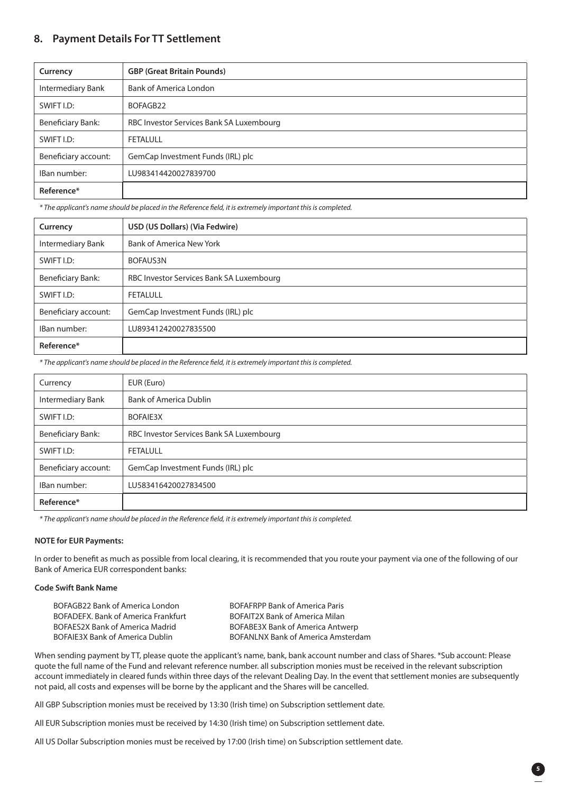### **8. Payment Details For TT Settlement**

| Currency                 | <b>GBP (Great Britain Pounds)</b>        |
|--------------------------|------------------------------------------|
| Intermediary Bank        | Bank of America London                   |
| SWIFT I.D:               | BOFAGB22                                 |
| <b>Beneficiary Bank:</b> | RBC Investor Services Bank SA Luxembourg |
| SWIFT I.D:               | <b>FETALULL</b>                          |
| Beneficiary account:     | GemCap Investment Funds (IRL) plc        |
| IBan number:             | LU983414420027839700                     |
| Reference*               |                                          |

*\* The applicant's name should be placed in the Reference field, it is extremely important this is completed.* 

| Currency             | USD (US Dollars) (Via Fedwire)           |
|----------------------|------------------------------------------|
| Intermediary Bank    | Bank of America New York                 |
| SWIFT I.D:           | BOFAUS3N                                 |
| Beneficiary Bank:    | RBC Investor Services Bank SA Luxembourg |
| SWIFT I.D:           | FETALULL                                 |
| Beneficiary account: | GemCap Investment Funds (IRL) plc        |
| IBan number:         | LU893412420027835500                     |
| Reference*           |                                          |

*\* The applicant's name should be placed in the Reference field, it is extremely important this is completed.* 

| Currency             | EUR (Euro)                               |
|----------------------|------------------------------------------|
| Intermediary Bank    | <b>Bank of America Dublin</b>            |
| SWIFT I.D:           | BOFAIE3X                                 |
| Beneficiary Bank:    | RBC Investor Services Bank SA Luxembourg |
| SWIFT I.D:           | FETALULL                                 |
| Beneficiary account: | GemCap Investment Funds (IRL) plc        |
| IBan number:         | LU583416420027834500                     |
| Reference*           |                                          |

*\* The applicant's name should be placed in the Reference field, it is extremely important this is completed.* 

### **NOTE for EUR Payments:**

In order to benefit as much as possible from local clearing, it is recommended that you route your payment via one of the following of our Bank of America EUR correspondent banks:

### **Code Swift Bank Name**

BOFAGB22 Bank of America London BOFAFRPP Bank of America Paris BOFADEFX. Bank of America Frankfurt BOFAIT2X Bank of America Milan

BOFAES2X Bank of America Madrid BOFABE3X Bank of America Antwerp BOFAIE3X Bank of America Dublin BOFANLNX Bank of America Amsterdam

**5**

When sending payment by TT, please quote the applicant's name, bank, bank account number and class of Shares. \*Sub account: Please quote the full name of the Fund and relevant reference number. all subscription monies must be received in the relevant subscription account immediately in cleared funds within three days of the relevant Dealing Day. In the event that settlement monies are subsequently not paid, all costs and expenses will be borne by the applicant and the Shares will be cancelled.

All GBP Subscription monies must be received by 13:30 (Irish time) on Subscription settlement date.

All EUR Subscription monies must be received by 14:30 (Irish time) on Subscription settlement date.

All US Dollar Subscription monies must be received by 17:00 (Irish time) on Subscription settlement date.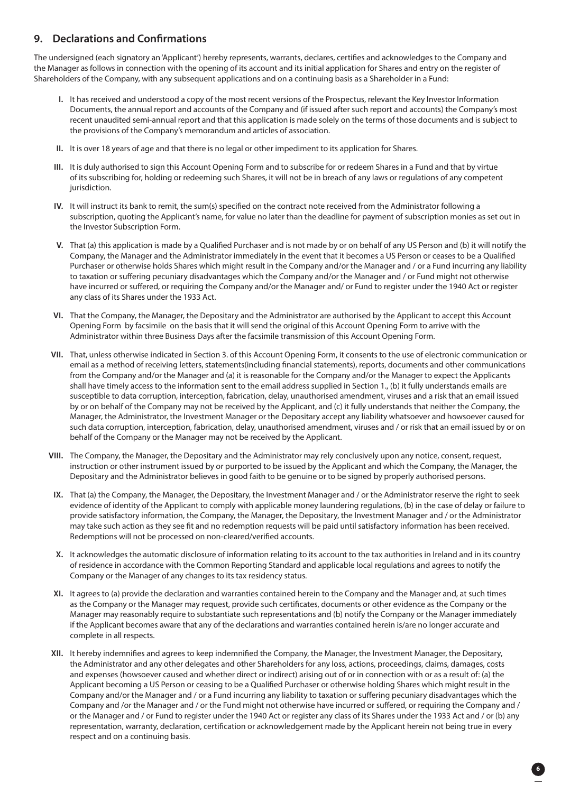### **9. Declarations and Confirmations**

The undersigned (each signatory an 'Applicant') hereby represents, warrants, declares, certifies and acknowledges to the Company and the Manager as follows in connection with the opening of its account and its initial application for Shares and entry on the register of Shareholders of the Company, with any subsequent applications and on a continuing basis as a Shareholder in a Fund:

- **I.** It has received and understood a copy of the most recent versions of the Prospectus, relevant the Key Investor Information Documents, the annual report and accounts of the Company and (if issued after such report and accounts) the Company's most recent unaudited semi-annual report and that this application is made solely on the terms of those documents and is subject to the provisions of the Company's memorandum and articles of association.
- **II.** It is over 18 years of age and that there is no legal or other impediment to its application for Shares.
- **III.** It is duly authorised to sign this Account Opening Form and to subscribe for or redeem Shares in a Fund and that by virtue of its subscribing for, holding or redeeming such Shares, it will not be in breach of any laws or regulations of any competent jurisdiction.
- **IV.** It will instruct its bank to remit, the sum(s) specified on the contract note received from the Administrator following a subscription, quoting the Applicant's name, for value no later than the deadline for payment of subscription monies as set out in the Investor Subscription Form.
- **V.** That (a) this application is made by a Qualified Purchaser and is not made by or on behalf of any US Person and (b) it will notify the Company, the Manager and the Administrator immediately in the event that it becomes a US Person or ceases to be a Qualified Purchaser or otherwise holds Shares which might result in the Company and/or the Manager and / or a Fund incurring any liability to taxation or suffering pecuniary disadvantages which the Company and/or the Manager and / or Fund might not otherwise have incurred or suffered, or requiring the Company and/or the Manager and/ or Fund to register under the 1940 Act or register any class of its Shares under the 1933 Act.
- **VI.** That the Company, the Manager, the Depositary and the Administrator are authorised by the Applicant to accept this Account Opening Form by facsimile on the basis that it will send the original of this Account Opening Form to arrive with the Administrator within three Business Days after the facsimile transmission of this Account Opening Form.
- **VII.** That, unless otherwise indicated in Section 3. of this Account Opening Form, it consents to the use of electronic communication or email as a method of receiving letters, statements(including financial statements), reports, documents and other communications from the Company and/or the Manager and (a) it is reasonable for the Company and/or the Manager to expect the Applicants shall have timely access to the information sent to the email address supplied in Section 1., (b) it fully understands emails are susceptible to data corruption, interception, fabrication, delay, unauthorised amendment, viruses and a risk that an email issued by or on behalf of the Company may not be received by the Applicant, and (c) it fully understands that neither the Company, the Manager, the Administrator, the Investment Manager or the Depositary accept any liability whatsoever and howsoever caused for such data corruption, interception, fabrication, delay, unauthorised amendment, viruses and / or risk that an email issued by or on behalf of the Company or the Manager may not be received by the Applicant.
- **VIII.** The Company, the Manager, the Depositary and the Administrator may rely conclusively upon any notice, consent, request, instruction or other instrument issued by or purported to be issued by the Applicant and which the Company, the Manager, the Depositary and the Administrator believes in good faith to be genuine or to be signed by properly authorised persons.
- **IX.** That (a) the Company, the Manager, the Depositary, the Investment Manager and / or the Administrator reserve the right to seek evidence of identity of the Applicant to comply with applicable money laundering regulations, (b) in the case of delay or failure to provide satisfactory information, the Company, the Manager, the Depositary, the Investment Manager and / or the Administrator may take such action as they see fit and no redemption requests will be paid until satisfactory information has been received. Redemptions will not be processed on non-cleared/verified accounts.
- **X.** It acknowledges the automatic disclosure of information relating to its account to the tax authorities in Ireland and in its country of residence in accordance with the Common Reporting Standard and applicable local regulations and agrees to notify the Company or the Manager of any changes to its tax residency status.
- **XI.** It agrees to (a) provide the declaration and warranties contained herein to the Company and the Manager and, at such times as the Company or the Manager may request, provide such certificates, documents or other evidence as the Company or the Manager may reasonably require to substantiate such representations and (b) notify the Company or the Manager immediately if the Applicant becomes aware that any of the declarations and warranties contained herein is/are no longer accurate and complete in all respects.
- **XII.** It hereby indemnifies and agrees to keep indemnified the Company, the Manager, the Investment Manager, the Depositary, the Administrator and any other delegates and other Shareholders for any loss, actions, proceedings, claims, damages, costs and expenses (howsoever caused and whether direct or indirect) arising out of or in connection with or as a result of: (a) the Applicant becoming a US Person or ceasing to be a Qualified Purchaser or otherwise holding Shares which might result in the Company and/or the Manager and / or a Fund incurring any liability to taxation or suffering pecuniary disadvantages which the Company and /or the Manager and / or the Fund might not otherwise have incurred or suffered, or requiring the Company and / or the Manager and / or Fund to register under the 1940 Act or register any class of its Shares under the 1933 Act and / or (b) any representation, warranty, declaration, certification or acknowledgement made by the Applicant herein not being true in every respect and on a continuing basis.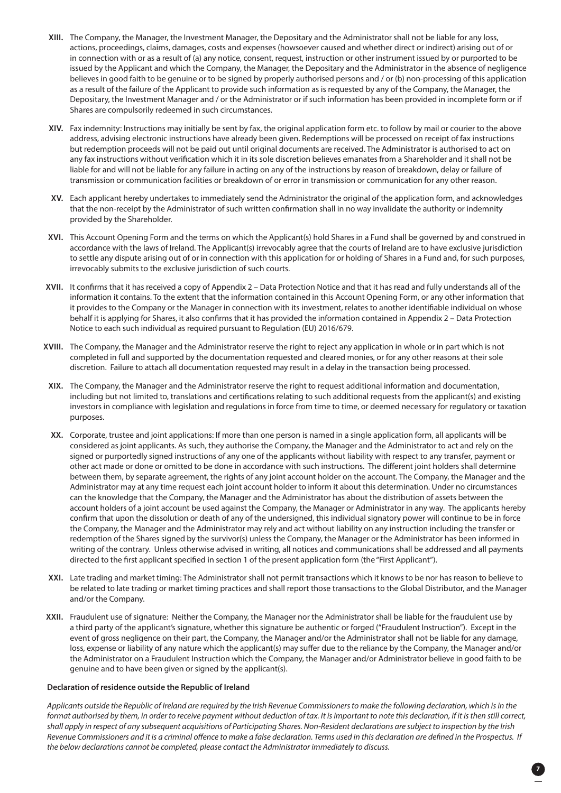- **XIII.** The Company, the Manager, the Investment Manager, the Depositary and the Administrator shall not be liable for any loss, actions, proceedings, claims, damages, costs and expenses (howsoever caused and whether direct or indirect) arising out of or in connection with or as a result of (a) any notice, consent, request, instruction or other instrument issued by or purported to be issued by the Applicant and which the Company, the Manager, the Depositary and the Administrator in the absence of negligence believes in good faith to be genuine or to be signed by properly authorised persons and / or (b) non-processing of this application as a result of the failure of the Applicant to provide such information as is requested by any of the Company, the Manager, the Depositary, the Investment Manager and / or the Administrator or if such information has been provided in incomplete form or if Shares are compulsorily redeemed in such circumstances.
- **XIV.** Fax indemnity: Instructions may initially be sent by fax, the original application form etc. to follow by mail or courier to the above address, advising electronic instructions have already been given. Redemptions will be processed on receipt of fax instructions but redemption proceeds will not be paid out until original documents are received. The Administrator is authorised to act on any fax instructions without verification which it in its sole discretion believes emanates from a Shareholder and it shall not be liable for and will not be liable for any failure in acting on any of the instructions by reason of breakdown, delay or failure of transmission or communication facilities or breakdown of or error in transmission or communication for any other reason.
- **XV.** Each applicant hereby undertakes to immediately send the Administrator the original of the application form, and acknowledges that the non-receipt by the Administrator of such written confirmation shall in no way invalidate the authority or indemnity provided by the Shareholder.
- **XVI.** This Account Opening Form and the terms on which the Applicant(s) hold Shares in a Fund shall be governed by and construed in accordance with the laws of Ireland. The Applicant(s) irrevocably agree that the courts of Ireland are to have exclusive jurisdiction to settle any dispute arising out of or in connection with this application for or holding of Shares in a Fund and, for such purposes, irrevocably submits to the exclusive jurisdiction of such courts.
- **XVII.** It confirms that it has received a copy of Appendix 2 Data Protection Notice and that it has read and fully understands all of the information it contains. To the extent that the information contained in this Account Opening Form, or any other information that it provides to the Company or the Manager in connection with its investment, relates to another identifiable individual on whose behalf it is applying for Shares, it also confirms that it has provided the information contained in Appendix 2 – Data Protection Notice to each such individual as required pursuant to Regulation (EU) 2016/679.
- **XVIII.** The Company, the Manager and the Administrator reserve the right to reject any application in whole or in part which is not completed in full and supported by the documentation requested and cleared monies, or for any other reasons at their sole discretion. Failure to attach all documentation requested may result in a delay in the transaction being processed.
- **XIX.** The Company, the Manager and the Administrator reserve the right to request additional information and documentation, including but not limited to, translations and certifications relating to such additional requests from the applicant(s) and existing investors in compliance with legislation and regulations in force from time to time, or deemed necessary for regulatory or taxation purposes.
- **XX.** Corporate, trustee and joint applications: If more than one person is named in a single application form, all applicants will be considered as joint applicants. As such, they authorise the Company, the Manager and the Administrator to act and rely on the signed or purportedly signed instructions of any one of the applicants without liability with respect to any transfer, payment or other act made or done or omitted to be done in accordance with such instructions. The different joint holders shall determine between them, by separate agreement, the rights of any joint account holder on the account. The Company, the Manager and the Administrator may at any time request each joint account holder to inform it about this determination. Under no circumstances can the knowledge that the Company, the Manager and the Administrator has about the distribution of assets between the account holders of a joint account be used against the Company, the Manager or Administrator in any way. The applicants hereby confirm that upon the dissolution or death of any of the undersigned, this individual signatory power will continue to be in force the Company, the Manager and the Administrator may rely and act without liability on any instruction including the transfer or redemption of the Shares signed by the survivor(s) unless the Company, the Manager or the Administrator has been informed in writing of the contrary. Unless otherwise advised in writing, all notices and communications shall be addressed and all payments directed to the first applicant specified in section 1 of the present application form (the "First Applicant").
- **XXI.** Late trading and market timing: The Administrator shall not permit transactions which it knows to be nor has reason to believe to be related to late trading or market timing practices and shall report those transactions to the Global Distributor, and the Manager and/or the Company.
- **XXII.** Fraudulent use of signature: Neither the Company, the Manager nor the Administrator shall be liable for the fraudulent use by a third party of the applicant's signature, whether this signature be authentic or forged ("Fraudulent Instruction"). Except in the event of gross negligence on their part, the Company, the Manager and/or the Administrator shall not be liable for any damage, loss, expense or liability of any nature which the applicant(s) may suffer due to the reliance by the Company, the Manager and/or the Administrator on a Fraudulent Instruction which the Company, the Manager and/or Administrator believe in good faith to be genuine and to have been given or signed by the applicant(s).

### **Declaration of residence outside the Republic of Ireland**

 *Applicants outside the Republic of Ireland are required by the Irish Revenue Commissioners to make the following declaration, which is in the format authorised by them, in order to receive payment without deduction of tax. It is important to note this declaration, if it is then still correct, shall apply in respect of any subsequent acquisitions of Participating Shares. Non-Resident declarations are subject to inspection by the Irish Revenue Commissioners and it is a criminal offence to make a false declaration. Terms used in this declaration are defined in the Prospectus. If the below declarations cannot be completed, please contact the Administrator immediately to discuss.*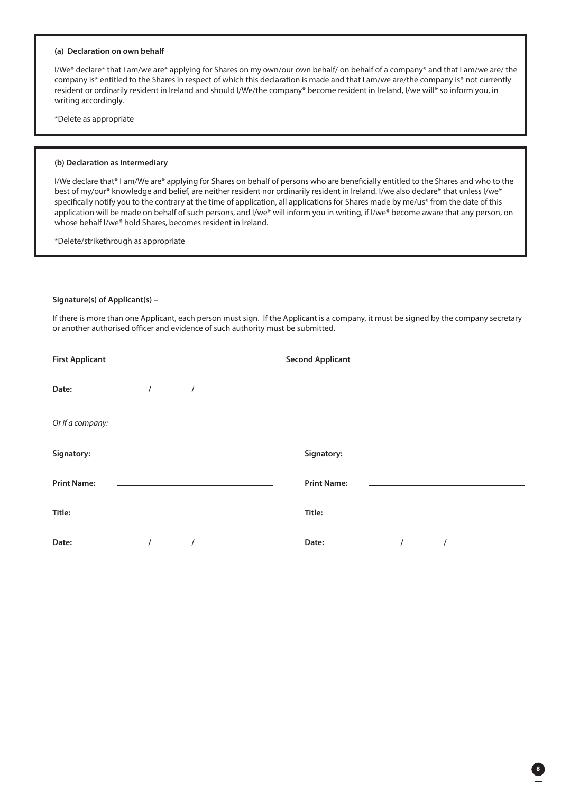### **(a) Declaration on own behalf**

I/We\* declare\* that I am/we are\* applying for Shares on my own/our own behalf/ on behalf of a company\* and that I am/we are/ the company is\* entitled to the Shares in respect of which this declaration is made and that I am/we are/the company is\* not currently resident or ordinarily resident in Ireland and should I/We/the company\* become resident in Ireland, I/we will\* so inform you, in writing accordingly.

\*Delete as appropriate

#### **(b) Declaration as Intermediary**

I/We declare that\* I am/We are\* applying for Shares on behalf of persons who are beneficially entitled to the Shares and who to the best of my/our\* knowledge and belief, are neither resident nor ordinarily resident in Ireland. I/we also declare\* that unless I/we\* specifically notify you to the contrary at the time of application, all applications for Shares made by me/us\* from the date of this application will be made on behalf of such persons, and I/we\* will inform you in writing, if I/we\* become aware that any person, on whose behalf I/we\* hold Shares, becomes resident in Ireland.

\*Delete/strikethrough as appropriate

#### **Signature(s) of Applicant(s) –**

If there is more than one Applicant, each person must sign. If the Applicant is a company, it must be signed by the company secretary or another authorised officer and evidence of such authority must be submitted.

| <b>First Applicant</b> |                                                   |          | <b>Second Applicant</b> |                                                                                 |  |
|------------------------|---------------------------------------------------|----------|-------------------------|---------------------------------------------------------------------------------|--|
| Date:                  | $\sqrt{ }$                                        | $\prime$ |                         |                                                                                 |  |
| Or if a company:       |                                                   |          |                         |                                                                                 |  |
| Signatory:             | <u> 1989 - Johann Barn, mars et al. (b. 1989)</u> |          | Signatory:              | the contract of the contract of the contract of the contract of the contract of |  |
| <b>Print Name:</b>     |                                                   |          | <b>Print Name:</b>      |                                                                                 |  |
| Title:                 |                                                   |          | Title:                  |                                                                                 |  |
| Date:                  |                                                   |          | Date:                   |                                                                                 |  |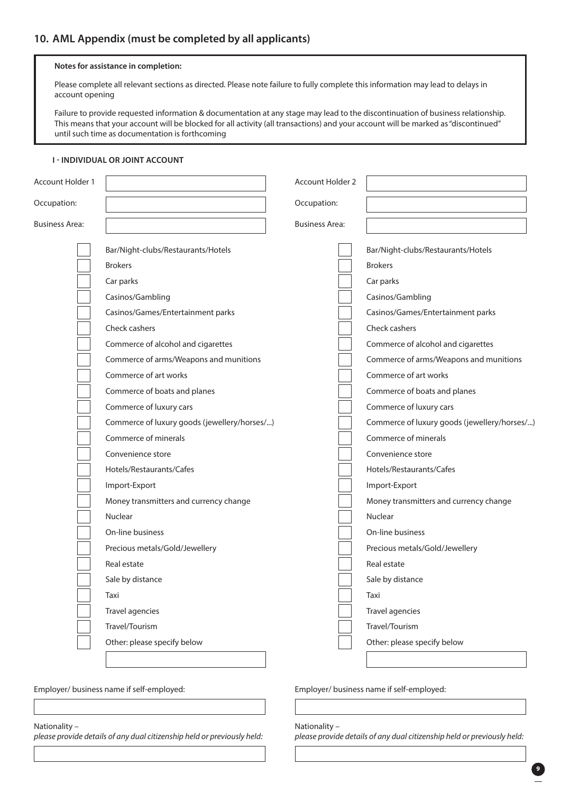### **Notes for assistance in completion:**

Please complete all relevant sections as directed. Please note failure to fully complete this information may lead to delays in account opening

 Failure to provide requested information & documentation at any stage may lead to the discontinuation of business relationship. This means that your account will be blocked for all activity (all transactions) and your account will be marked as "discontinued" until such time as documentation is forthcoming

### **I - INDIVIDUAL OR JOINT ACCOUNT**

| Account Holder 1      |                                              | <b>Account Holder 2</b> |                                              |
|-----------------------|----------------------------------------------|-------------------------|----------------------------------------------|
| Occupation:           |                                              | Occupation:             |                                              |
| <b>Business Area:</b> |                                              | <b>Business Area:</b>   |                                              |
|                       | Bar/Night-clubs/Restaurants/Hotels           |                         | Bar/Night-clubs/Restaurants/Hotels           |
|                       | <b>Brokers</b>                               |                         | <b>Brokers</b>                               |
|                       | Car parks                                    |                         | Car parks                                    |
|                       | Casinos/Gambling                             |                         | Casinos/Gambling                             |
|                       | Casinos/Games/Entertainment parks            |                         | Casinos/Games/Entertainment parks            |
|                       | Check cashers                                |                         | Check cashers                                |
|                       | Commerce of alcohol and cigarettes           |                         | Commerce of alcohol and cigarettes           |
|                       | Commerce of arms/Weapons and munitions       |                         | Commerce of arms/Weapons and munitions       |
|                       | Commerce of art works                        |                         | Commerce of art works                        |
|                       | Commerce of boats and planes                 |                         | Commerce of boats and planes                 |
|                       | Commerce of luxury cars                      |                         | Commerce of luxury cars                      |
|                       | Commerce of luxury goods (jewellery/horses/) |                         | Commerce of luxury goods (jewellery/horses/) |
|                       | Commerce of minerals                         |                         | Commerce of minerals                         |
|                       | Convenience store                            |                         | Convenience store                            |
|                       | Hotels/Restaurants/Cafes                     |                         | Hotels/Restaurants/Cafes                     |
|                       | Import-Export                                |                         | Import-Export                                |
|                       | Money transmitters and currency change       |                         | Money transmitters and currency change       |
|                       | Nuclear                                      |                         | Nuclear                                      |
|                       | On-line business                             |                         | On-line business                             |
|                       | Precious metals/Gold/Jewellery               |                         | Precious metals/Gold/Jewellery               |
|                       | Real estate                                  |                         | Real estate                                  |
|                       | Sale by distance                             |                         | Sale by distance                             |
|                       | Taxi                                         |                         | Taxi                                         |
|                       | Travel agencies                              |                         | Travel agencies                              |
|                       | Travel/Tourism                               |                         | Travel/Tourism                               |
|                       | Other: please specify below                  |                         | Other: please specify below                  |
|                       |                                              |                         |                                              |

Employer/ business name if self-employed:

### Nationality –

*please provide details of any dual citizenship held or previously held:* 

Employer/ business name if self-employed:

Nationality –

*please provide details of any dual citizenship held or previously held:*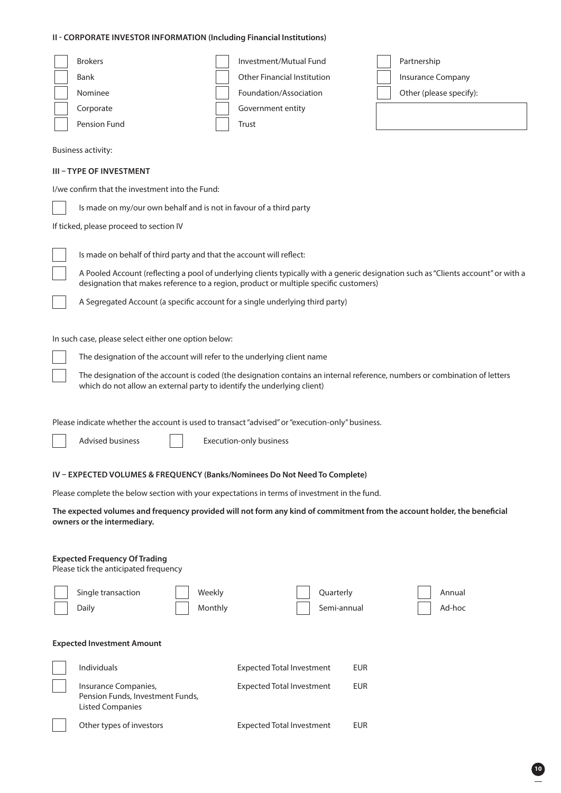### **II - CORPORATE INVESTOR INFORMATION (Including Financial Institutions)**

| <b>Brokers</b><br>Bank<br>Nominee<br>Corporate<br>Pension Fund<br><b>Business activity:</b><br><b>III - TYPE OF INVESTMENT</b>                          | Investment/Mutual Fund<br><b>Other Financial Institution</b><br>Foundation/Association<br>Government entity<br>Trust       | Partnership<br>Insurance Company<br>Other (please specify):                                                                        |  |  |  |
|---------------------------------------------------------------------------------------------------------------------------------------------------------|----------------------------------------------------------------------------------------------------------------------------|------------------------------------------------------------------------------------------------------------------------------------|--|--|--|
| I/we confirm that the investment into the Fund:                                                                                                         |                                                                                                                            |                                                                                                                                    |  |  |  |
| Is made on my/our own behalf and is not in favour of a third party                                                                                      |                                                                                                                            |                                                                                                                                    |  |  |  |
| If ticked, please proceed to section IV                                                                                                                 |                                                                                                                            |                                                                                                                                    |  |  |  |
| Is made on behalf of third party and that the account will reflect:<br>A Segregated Account (a specific account for a single underlying third party)    | designation that makes reference to a region, product or multiple specific customers)                                      | A Pooled Account (reflecting a pool of underlying clients typically with a generic designation such as "Clients account" or with a |  |  |  |
| In such case, please select either one option below:                                                                                                    |                                                                                                                            |                                                                                                                                    |  |  |  |
| The designation of the account will refer to the underlying client name                                                                                 |                                                                                                                            |                                                                                                                                    |  |  |  |
| which do not allow an external party to identify the underlying client)                                                                                 | The designation of the account is coded (the designation contains an internal reference, numbers or combination of letters |                                                                                                                                    |  |  |  |
| Please indicate whether the account is used to transact "advised" or "execution-only" business.                                                         |                                                                                                                            |                                                                                                                                    |  |  |  |
| <b>Advised business</b>                                                                                                                                 | Execution-only business                                                                                                    |                                                                                                                                    |  |  |  |
|                                                                                                                                                         |                                                                                                                            |                                                                                                                                    |  |  |  |
| IV - EXPECTED VOLUMES & FREQUENCY (Banks/Nominees Do Not Need To Complete)                                                                              |                                                                                                                            |                                                                                                                                    |  |  |  |
| Please complete the below section with your expectations in terms of investment in the fund.                                                            |                                                                                                                            |                                                                                                                                    |  |  |  |
| The expected volumes and frequency provided will not form any kind of commitment from the account holder, the beneficial<br>owners or the intermediary. |                                                                                                                            |                                                                                                                                    |  |  |  |
| <b>Expected Frequency Of Trading</b><br>Please tick the anticipated frequency                                                                           |                                                                                                                            |                                                                                                                                    |  |  |  |
| Single transaction<br>Weekly                                                                                                                            | Quarterly                                                                                                                  | Annual                                                                                                                             |  |  |  |
| Monthly<br>Daily                                                                                                                                        | Semi-annual                                                                                                                | Ad-hoc                                                                                                                             |  |  |  |
| <b>Expected Investment Amount</b>                                                                                                                       |                                                                                                                            |                                                                                                                                    |  |  |  |
| Individuals                                                                                                                                             | <b>Expected Total Investment</b><br><b>EUR</b>                                                                             |                                                                                                                                    |  |  |  |
| Insurance Companies,<br>Pension Funds, Investment Funds,<br><b>Listed Companies</b>                                                                     | <b>Expected Total Investment</b><br><b>EUR</b>                                                                             |                                                                                                                                    |  |  |  |
| Other types of investors                                                                                                                                | <b>Expected Total Investment</b><br><b>EUR</b>                                                                             |                                                                                                                                    |  |  |  |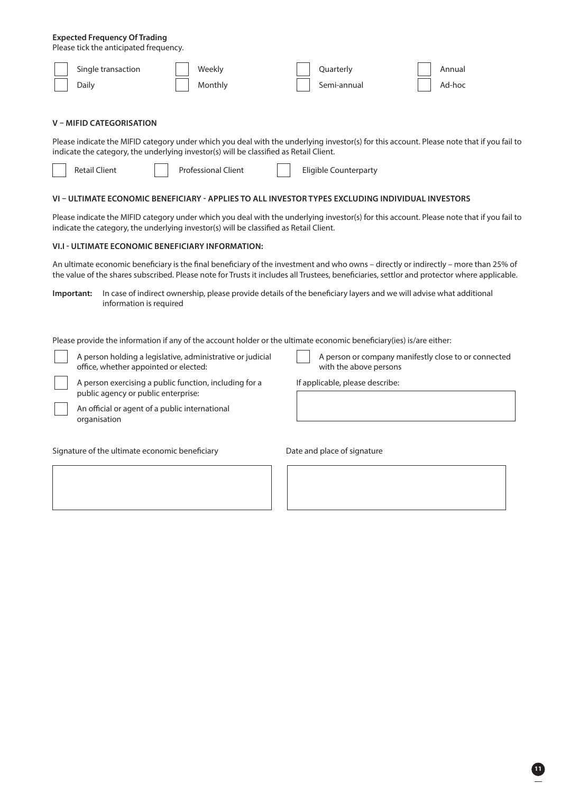### **Expected Frequency Of Trading**

Please tick the anticipated frequency.

| Single transaction<br>Weekly                                                                                                                                                                                                                                                                                                                                                               | Quarterly                       | Annual                                               |
|--------------------------------------------------------------------------------------------------------------------------------------------------------------------------------------------------------------------------------------------------------------------------------------------------------------------------------------------------------------------------------------------|---------------------------------|------------------------------------------------------|
| Daily<br>Monthly                                                                                                                                                                                                                                                                                                                                                                           | Semi-annual                     | Ad-hoc                                               |
| V – MIFID CATEGORISATION<br>Please indicate the MIFID category under which you deal with the underlying investor(s) for this account. Please note that if you fail to                                                                                                                                                                                                                      |                                 |                                                      |
| indicate the category, the underlying investor(s) will be classified as Retail Client.                                                                                                                                                                                                                                                                                                     |                                 |                                                      |
| <b>Retail Client</b><br><b>Professional Client</b>                                                                                                                                                                                                                                                                                                                                         | <b>Eligible Counterparty</b>    |                                                      |
| VI - ULTIMATE ECONOMIC BENEFICIARY - APPLIES TO ALL INVESTOR TYPES EXCLUDING INDIVIDUAL INVESTORS                                                                                                                                                                                                                                                                                          |                                 |                                                      |
| Please indicate the MIFID category under which you deal with the underlying investor(s) for this account. Please note that if you fail to<br>indicate the category, the underlying investor(s) will be classified as Retail Client.                                                                                                                                                        |                                 |                                                      |
| VI.I - ULTIMATE ECONOMIC BENEFICIARY INFORMATION:                                                                                                                                                                                                                                                                                                                                          |                                 |                                                      |
| An ultimate economic beneficiary is the final beneficiary of the investment and who owns - directly or indirectly - more than 25% of<br>the value of the shares subscribed. Please note for Trusts it includes all Trustees, beneficiaries, settlor and protector where applicable.                                                                                                        |                                 |                                                      |
| In case of indirect ownership, please provide details of the beneficiary layers and we will advise what additional<br>Important:<br>information is required<br>Please provide the information if any of the account holder or the ultimate economic beneficiary(ies) is/are either:<br>A person holding a legislative, administrative or judicial<br>office, whether appointed or elected: | with the above persons          | A person or company manifestly close to or connected |
| A person exercising a public function, including for a<br>public agency or public enterprise:                                                                                                                                                                                                                                                                                              | If applicable, please describe: |                                                      |
| An official or agent of a public international<br>organisation                                                                                                                                                                                                                                                                                                                             |                                 |                                                      |
| Signature of the ultimate economic beneficiary                                                                                                                                                                                                                                                                                                                                             | Date and place of signature     |                                                      |
|                                                                                                                                                                                                                                                                                                                                                                                            |                                 |                                                      |
|                                                                                                                                                                                                                                                                                                                                                                                            |                                 |                                                      |
|                                                                                                                                                                                                                                                                                                                                                                                            |                                 |                                                      |
|                                                                                                                                                                                                                                                                                                                                                                                            |                                 |                                                      |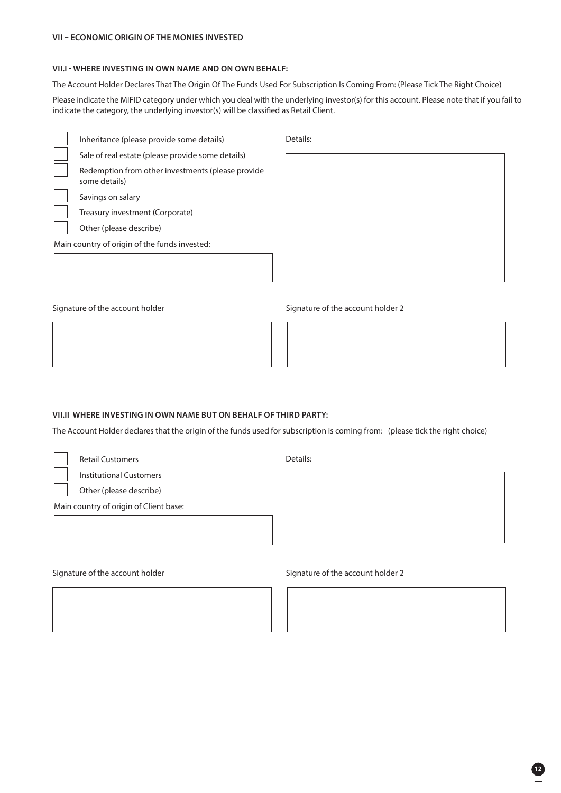### **VII – ECONOMIC ORIGIN OF THE MONIES INVESTED**

### **VII.I - WHERE INVESTING IN OWN NAME AND ON OWN BEHALF:**

The Account Holder Declares That The Origin Of The Funds Used For Subscription Is Coming From: (Please Tick The Right Choice)

Please indicate the MIFID category under which you deal with the underlying investor(s) for this account. Please note that if you fail to indicate the category, the underlying investor(s) will be classified as Retail Client.

| Inheritance (please provide some details)                          |
|--------------------------------------------------------------------|
| Sale of real estate (please provide some details)                  |
| Redemption from other investments (please provide<br>some details) |
| Savings on salary                                                  |
| Treasury investment (Corporate)                                    |
| Other (please describe)                                            |

Details:

Signature of the account holder

Main country of origin of the funds invested:

Signature of the account holder 2

### **VII.II WHERE INVESTING IN OWN NAME BUT ON BEHALF OF THIRD PARTY:**

The Account Holder declares that the origin of the funds used for subscription is coming from: (please tick the right choice)

Retail Customers

Institutional Customers

Other (please describe)

Main country of origin of Client base:

Signature of the account holder

Details:

Signature of the account holder 2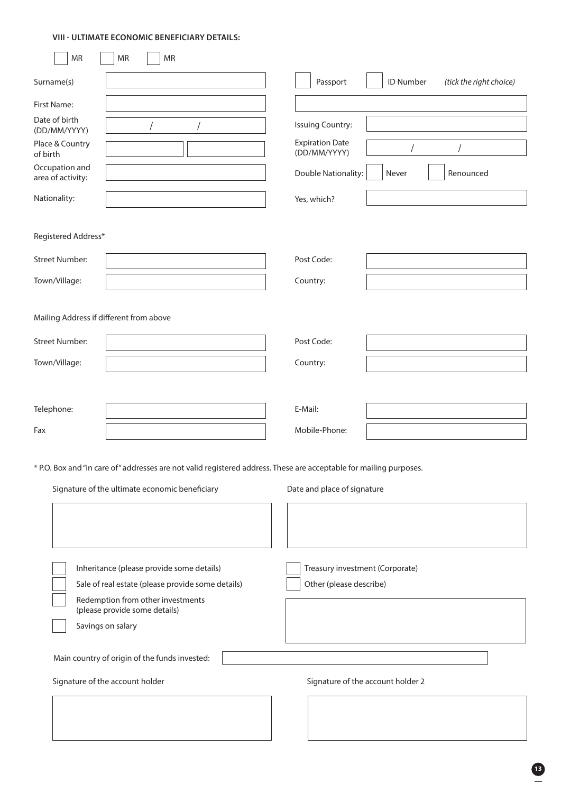### **VIII - ULTIMATE ECONOMIC BENEFICIARY DETAILS:**

| <b>MR</b>                              | MR<br><b>MR</b>                                                                                                                                                      |                                                            |           |                         |
|----------------------------------------|----------------------------------------------------------------------------------------------------------------------------------------------------------------------|------------------------------------------------------------|-----------|-------------------------|
| Surname(s)                             |                                                                                                                                                                      | Passport                                                   | ID Number | (tick the right choice) |
| First Name:                            |                                                                                                                                                                      |                                                            |           |                         |
| Date of birth<br>(DD/MM/YYYY)          |                                                                                                                                                                      | <b>Issuing Country:</b>                                    |           |                         |
| Place & Country<br>of birth            |                                                                                                                                                                      | <b>Expiration Date</b><br>(DD/MM/YYYY)                     |           |                         |
| Occupation and<br>area of activity:    |                                                                                                                                                                      | Double Nationality:                                        | Never     | Renounced               |
| Nationality:                           |                                                                                                                                                                      | Yes, which?                                                |           |                         |
| Registered Address*                    |                                                                                                                                                                      |                                                            |           |                         |
| <b>Street Number:</b>                  |                                                                                                                                                                      | Post Code:                                                 |           |                         |
| Town/Village:                          |                                                                                                                                                                      | Country:                                                   |           |                         |
| <b>Street Number:</b><br>Town/Village: | Mailing Address if different from above                                                                                                                              | Post Code:<br>Country:                                     |           |                         |
| Telephone:                             |                                                                                                                                                                      | E-Mail:                                                    |           |                         |
| Fax                                    |                                                                                                                                                                      | Mobile-Phone:                                              |           |                         |
|                                        | * P.O. Box and "in care of" addresses are not valid registered address. These are acceptable for mailing purposes.<br>Signature of the ultimate economic beneficiary | Date and place of signature                                |           |                         |
|                                        | Inheritance (please provide some details)<br>Sale of real estate (please provide some details)<br>Redemption from other investments<br>(please provide some details) | Treasury investment (Corporate)<br>Other (please describe) |           |                         |

Savings on salary

Main country of origin of the funds invested:

Signature of the account holder

Signature of the account holder 2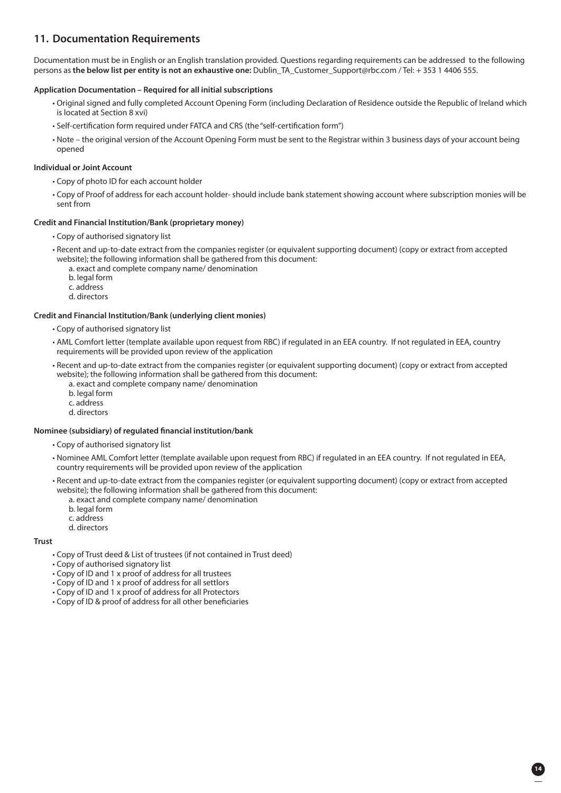### **11. Documentation Requirements**

Documentation must be in English or an English translation provided. Questions regarding requirements can be addressed to the following persons as **the below list per entity is not an exhaustive one:** Dublin\_TA\_Customer\_Support@rbc.com / Tel: + 353 1 4406 555.

### **Application Documentation – Required for all initial subscriptions**

- Original signed and fully completed Account Opening Form (including Declaration of Residence outside the Republic of Ireland which is located at Section 8 xvi)
- Self-certification form required under FATCA and CRS (the "self-certification form")
- Note the original version of the Account Opening Form must be sent to the Registrar within 3 business days of your account being opened

### **Individual or Joint Account**

- Copy of photo ID for each account holder
- Copy of Proof of address for each account holder- should include bank statement showing account where subscription monies will be sent from

### **Credit and Financial Institution/Bank (proprietary money)**

- Copy of authorised signatory list
- Recent and up-to-date extract from the companies register (or equivalent supporting document) (copy or extract from accepted website); the following information shall be gathered from this document:
	- a. exact and complete company name/ denomination
	- b. legal form
	- c. address
	- d. directors

#### **Credit and Financial Institution/Bank (underlying client monies)**

- Copy of authorised signatory list
- AML Comfort letter (template available upon request from RBC) if regulated in an EEA country. If not regulated in EEA, country requirements will be provided upon review of the application
- Recent and up-to-date extract from the companies register (or equivalent supporting document) (copy or extract from accepted website); the following information shall be gathered from this document:
	- a. exact and complete company name/ denomination
	- b. legal form
	- c. address
	- d. directors

### **Nominee (subsidiary) of regulated financial institution/bank**

- Copy of authorised signatory list
- Nominee AML Comfort letter (template available upon request from RBC) if regulated in an EEA country. If not regulated in EEA, country requirements will be provided upon review of the application
- Recent and up-to-date extract from the companies register (or equivalent supporting document) (copy or extract from accepted website); the following information shall be gathered from this document:

**14**

- a. exact and complete company name/ denomination
- b. legal form
- c. address
- d. directors

#### **Trust**

- Copy of Trust deed & List of trustees (if not contained in Trust deed)
- Copy of authorised signatory list
- Copy of ID and 1 x proof of address for all trustees
- Copy of ID and 1 x proof of address for all settlors
- Copy of ID and 1 x proof of address for all Protectors
- Copy of ID & proof of address for all other beneficiaries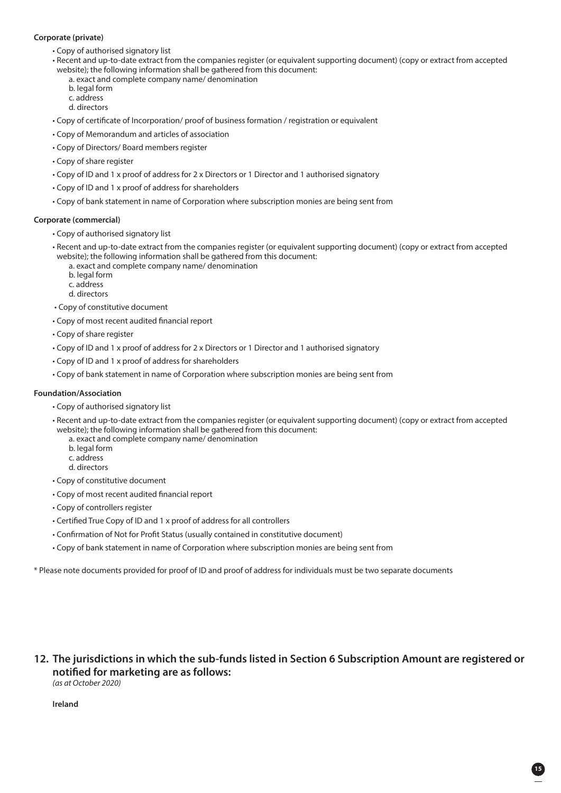### **Corporate (private)**

- Copy of authorised signatory list
- Recent and up-to-date extract from the companies register (or equivalent supporting document) (copy or extract from accepted website); the following information shall be gathered from this document:
	- a. exact and complete company name/ denomination b. legal form
		- c. address
		- d. directors
- Copy of certificate of Incorporation/ proof of business formation / registration or equivalent
- Copy of Memorandum and articles of association
- Copy of Directors/ Board members register
- Copy of share register
- Copy of ID and 1 x proof of address for 2 x Directors or 1 Director and 1 authorised signatory
- Copy of ID and 1 x proof of address for shareholders
- Copy of bank statement in name of Corporation where subscription monies are being sent from

### **Corporate (commercial)**

- Copy of authorised signatory list
- Recent and up-to-date extract from the companies register (or equivalent supporting document) (copy or extract from accepted website); the following information shall be gathered from this document:
	- a. exact and complete company name/ denomination
	- b. legal form
	- c. address
	- d. directors
- Copy of constitutive document
- Copy of most recent audited financial report
- Copy of share register
- Copy of ID and 1 x proof of address for 2 x Directors or 1 Director and 1 authorised signatory
- Copy of ID and 1 x proof of address for shareholders
- Copy of bank statement in name of Corporation where subscription monies are being sent from

### **Foundation/Association**

- Copy of authorised signatory list
- Recent and up-to-date extract from the companies register (or equivalent supporting document) (copy or extract from accepted website); the following information shall be gathered from this document:
	- a. exact and complete company name/ denomination
		- b. legal form
		- c. address
	- d. directors
- Copy of constitutive document
- Copy of most recent audited financial report
- Copy of controllers register
- Certified True Copy of ID and 1 x proof of address for all controllers
- Confirmation of Not for Profit Status (usually contained in constitutive document)
- Copy of bank statement in name of Corporation where subscription monies are being sent from

\* Please note documents provided for proof of ID and proof of address for individuals must be two separate documents

### **12. The jurisdictions in which the sub-funds listed in Section 6 Subscription Amount are registered or notified for marketing are as follows:**

**15**

*(as at October 2020)*

**Ireland**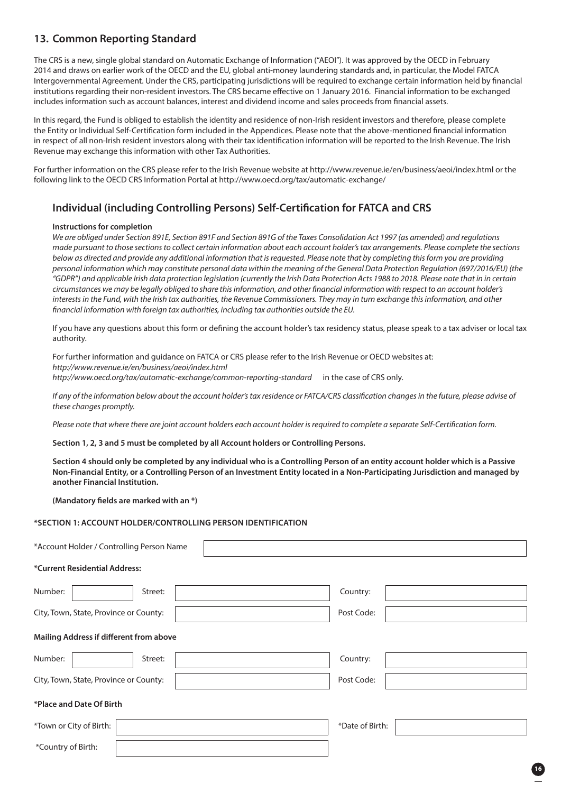### **13. Common Reporting Standard**

The CRS is a new, single global standard on Automatic Exchange of Information ("AEOI"). It was approved by the OECD in February 2014 and draws on earlier work of the OECD and the EU, global anti-money laundering standards and, in particular, the Model FATCA Intergovernmental Agreement. Under the CRS, participating jurisdictions will be required to exchange certain information held by financial institutions regarding their non-resident investors. The CRS became effective on 1 January 2016. Financial information to be exchanged includes information such as account balances, interest and dividend income and sales proceeds from financial assets.

In this regard, the Fund is obliged to establish the identity and residence of non-Irish resident investors and therefore, please complete the Entity or Individual Self-Certification form included in the Appendices. Please note that the above-mentioned financial information in respect of all non-Irish resident investors along with their tax identification information will be reported to the Irish Revenue. The Irish Revenue may exchange this information with other Tax Authorities.

For further information on the CRS please refer to the Irish Revenue website at http://www.revenue.ie/en/business/aeoi/index.html or the following link to the OECD CRS Information Portal at http://www.oecd.org/tax/automatic-exchange/

### **Individual (including Controlling Persons) Self-Certification for FATCA and CRS**

### **Instructions for completion**

*We are obliged under Section 891E, Section 891F and Section 891G of the Taxes Consolidation Act 1997 (as amended) and regulations made pursuant to those sections to collect certain information about each account holder's tax arrangements. Please complete the sections below as directed and provide any additional information that is requested. Please note that by completing this form you are providing personal information which may constitute personal data within the meaning of the General Data Protection Regulation (697/2016/EU) (the "GDPR") and applicable Irish data protection legislation (currently the Irish Data Protection Acts 1988 to 2018. Please note that in in certain circumstances we may be legally obliged to share this information, and other financial information with respect to an account holder's*  interests in the Fund, with the Irish tax authorities, the Revenue Commissioners. They may in turn exchange this information, and other *financial information with foreign tax authorities, including tax authorities outside the EU.*

 If you have any questions about this form or defining the account holder's tax residency status, please speak to a tax adviser or local tax authority.

 For further information and guidance on FATCA or CRS please refer to the Irish Revenue or OECD websites at: *http://www.revenue.ie/en/business/aeoi/index.html http://www.oecd.org/tax/automatic-exchange/common-reporting-standard* in the case of CRS only.

 *If any of the information below about the account holder's tax residence or FATCA/CRS classification changes in the future, please advise of these changes promptly.*

*Please note that where there are joint account holders each account holder is required to complete a separate Self-Certification form.*

### **Section 1, 2, 3 and 5 must be completed by all Account holders or Controlling Persons.**

**Section 4 should only be completed by any individual who is a Controlling Person of an entity account holder which is a Passive Non-Financial Entity, or a Controlling Person of an Investment Entity located in a Non-Participating Jurisdiction and managed by another Financial Institution.**

**(Mandatory fields are marked with an \*)**

### **\*SECTION 1: ACCOUNT HOLDER/CONTROLLING PERSON IDENTIFICATION**

| *Account Holder / Controlling Person Name  |            |  |  |  |
|--------------------------------------------|------------|--|--|--|
| *Current Residential Address:              |            |  |  |  |
| Number:<br>Street:                         | Country:   |  |  |  |
| City, Town, State, Province or County:     | Post Code: |  |  |  |
| Mailing Address if different from above    |            |  |  |  |
| Number:<br>Street:                         | Country:   |  |  |  |
| City, Town, State, Province or County:     | Post Code: |  |  |  |
| *Place and Date Of Birth                   |            |  |  |  |
| *Town or City of Birth:<br>*Date of Birth: |            |  |  |  |
| *Country of Birth:                         |            |  |  |  |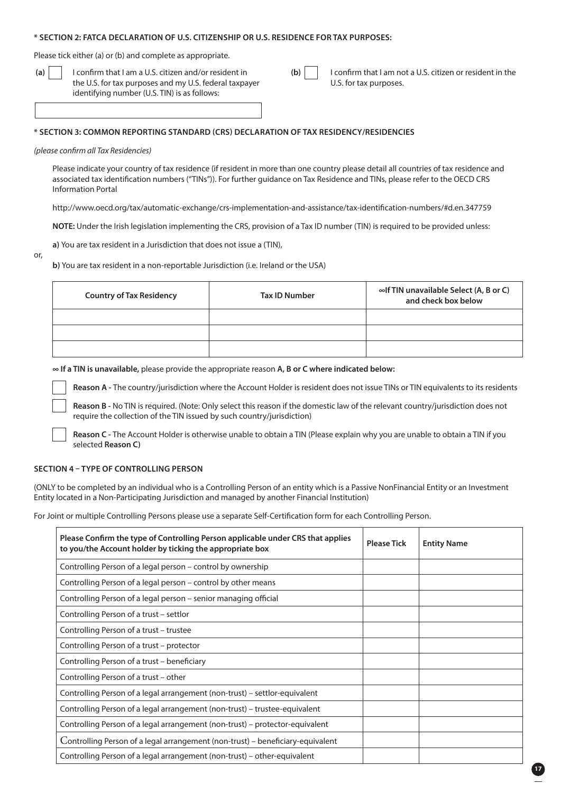### **\* SECTION 2: FATCA DECLARATION OF U.S. CITIZENSHIP OR U.S. RESIDENCE FOR TAX PURPOSES:**

Please tick either (a) or (b) and complete as appropriate.

 **(a)** I confirm that I am a U.S. citizen and/or resident in the U.S. for tax purposes and my U.S. federal taxpayer identifying number (U.S. TIN) is as follows:

**(b)**  $\vert$  I confirm that I am not a U.S. citizen or resident in the U.S. for tax purposes.

### **\* SECTION 3: COMMON REPORTING STANDARD (CRS) DECLARATION OF TAX RESIDENCY/RESIDENCIES**

### *(please confirm all Tax Residencies)*

 Please indicate your country of tax residence (if resident in more than one country please detail all countries of tax residence and associated tax identification numbers ("TINs")). For further guidance on Tax Residence and TINs, please refer to the OECD CRS Information Portal

http://www.oecd.org/tax/automatic-exchange/crs-implementation-and-assistance/tax-identification-numbers/#d.en.347759

**NOTE:** Under the Irish legislation implementing the CRS, provision of a Tax ID number (TIN) is required to be provided unless:

**a)** You are tax resident in a Jurisdiction that does not issue a (TIN),

or,

**b)** You are tax resident in a non-reportable Jurisdiction (i.e. Ireland or the USA)

| <b>Country of Tax Residency</b> | Tax ID Number | $\infty$ of TIN unavailable Select (A, B or C)<br>and check box below |
|---------------------------------|---------------|-----------------------------------------------------------------------|
|                                 |               |                                                                       |
|                                 |               |                                                                       |
|                                 |               |                                                                       |

**∞ If a TIN is unavailable,** please provide the appropriate reason **A, B or C where indicated below:**

**Reason A -** The country/jurisdiction where the Account Holder is resident does not issue TINs or TIN equivalents to its residents

 **Reason B -** No TIN is required. (Note: Only select this reason if the domestic law of the relevant country/jurisdiction does not require the collection of the TIN issued by such country/jurisdiction)

 **Reason C -** The Account Holder is otherwise unable to obtain a TIN (Please explain why you are unable to obtain a TIN if you selected **Reason C)**

### **SECTION 4 – TYPE OF CONTROLLING PERSON**

(ONLY to be completed by an individual who is a Controlling Person of an entity which is a Passive NonFinancial Entity or an Investment Entity located in a Non-Participating Jurisdiction and managed by another Financial Institution)

For Joint or multiple Controlling Persons please use a separate Self-Certification form for each Controlling Person.

| Please Confirm the type of Controlling Person applicable under CRS that applies<br>to you/the Account holder by ticking the appropriate box | <b>Please Tick</b> | <b>Entity Name</b> |
|---------------------------------------------------------------------------------------------------------------------------------------------|--------------------|--------------------|
| Controlling Person of a legal person – control by ownership                                                                                 |                    |                    |
| Controlling Person of a legal person – control by other means                                                                               |                    |                    |
| Controlling Person of a legal person – senior managing official                                                                             |                    |                    |
| Controlling Person of a trust - settlor                                                                                                     |                    |                    |
| Controlling Person of a trust - trustee                                                                                                     |                    |                    |
| Controlling Person of a trust – protector                                                                                                   |                    |                    |
| Controlling Person of a trust - beneficiary                                                                                                 |                    |                    |
| Controlling Person of a trust – other                                                                                                       |                    |                    |
| Controlling Person of a legal arrangement (non-trust) – settlor-equivalent                                                                  |                    |                    |
| Controlling Person of a legal arrangement (non-trust) – trustee-equivalent                                                                  |                    |                    |
| Controlling Person of a legal arrangement (non-trust) – protector-equivalent                                                                |                    |                    |
| Controlling Person of a legal arrangement (non-trust) – beneficiary-equivalent                                                              |                    |                    |
| Controlling Person of a legal arrangement (non-trust) – other-equivalent                                                                    |                    |                    |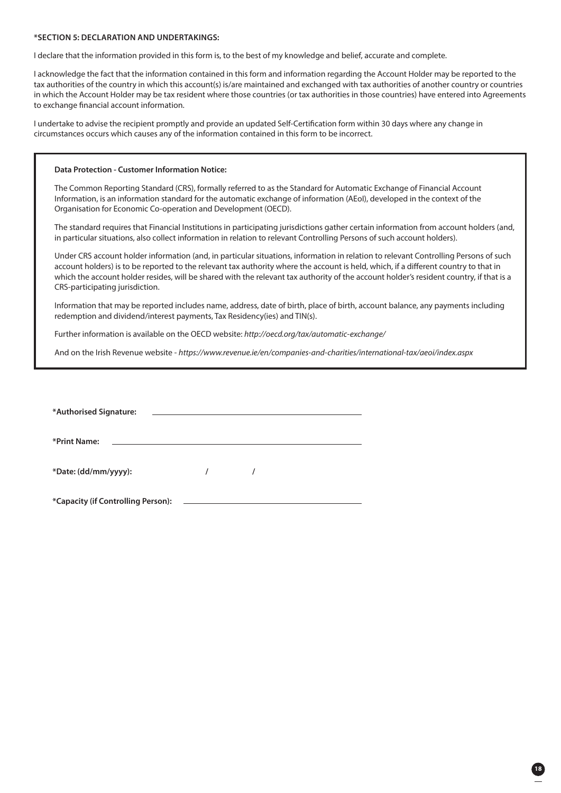### **\*SECTION 5: DECLARATION AND UNDERTAKINGS:**

I declare that the information provided in this form is, to the best of my knowledge and belief, accurate and complete.

I acknowledge the fact that the information contained in this form and information regarding the Account Holder may be reported to the tax authorities of the country in which this account(s) is/are maintained and exchanged with tax authorities of another country or countries in which the Account Holder may be tax resident where those countries (or tax authorities in those countries) have entered into Agreements to exchange financial account information.

I undertake to advise the recipient promptly and provide an updated Self-Certification form within 30 days where any change in circumstances occurs which causes any of the information contained in this form to be incorrect.

### **Data Protection - Customer Information Notice:**

The Common Reporting Standard (CRS), formally referred to as the Standard for Automatic Exchange of Financial Account Information, is an information standard for the automatic exchange of information (AEoI), developed in the context of the Organisation for Economic Co-operation and Development (OECD).

 The standard requires that Financial Institutions in participating jurisdictions gather certain information from account holders (and, in particular situations, also collect information in relation to relevant Controlling Persons of such account holders).

 Under CRS account holder information (and, in particular situations, information in relation to relevant Controlling Persons of such account holders) is to be reported to the relevant tax authority where the account is held, which, if a different country to that in which the account holder resides, will be shared with the relevant tax authority of the account holder's resident country, if that is a CRS-participating jurisdiction.

 Information that may be reported includes name, address, date of birth, place of birth, account balance, any payments including redemption and dividend/interest payments, Tax Residency(ies) and TIN(s).

Further information is available on the OECD website: *http://oecd.org/tax/automatic-exchange/* 

And on the Irish Revenue website - *https://www.revenue.ie/en/companies-and-charities/international-tax/aeoi/index.aspx* 

| *Authorised Signature:<br><u> 1989 - Andrea Stadt Britain, amerikansk politiker (</u> |  |  |  |  |
|---------------------------------------------------------------------------------------|--|--|--|--|
| *Print Name:                                                                          |  |  |  |  |
| *Date: (dd/mm/yyyy):                                                                  |  |  |  |  |
| *Capacity (if Controlling Person):                                                    |  |  |  |  |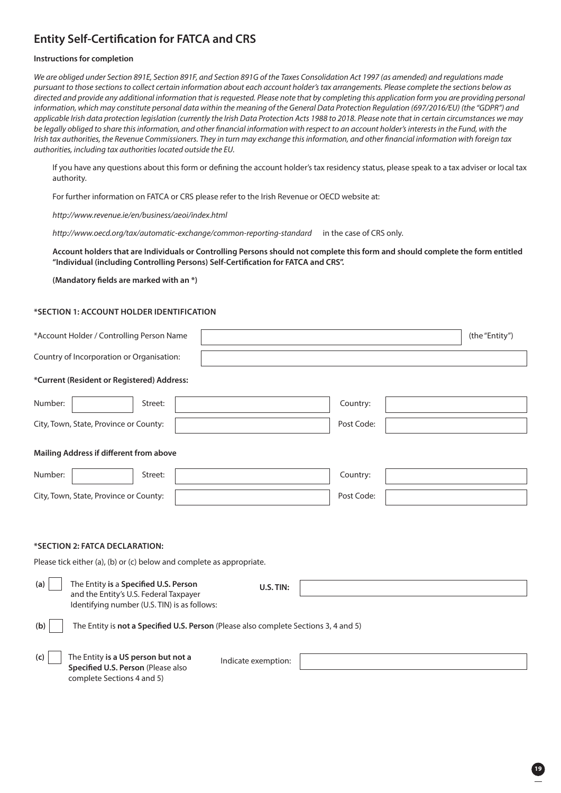## **Entity Self-Certification for FATCA and CRS**

### **Instructions for completion**

*We are obliged under Section 891E, Section 891F, and Section 891G of the Taxes Consolidation Act 1997 (as amended) and regulations made pursuant to those sections to collect certain information about each account holder's tax arrangements. Please complete the sections below as directed and provide any additional information that is requested. Please note that by completing this application form you are providing personal information, which may constitute personal data within the meaning of the General Data Protection Regulation (697/2016/EU) (the "GDPR") and applicable Irish data protection legislation (currently the Irish Data Protection Acts 1988 to 2018. Please note that in certain circumstances we may be legally obliged to share this information, and other financial information with respect to an account holder's interests in the Fund, with the Irish tax authorities, the Revenue Commissioners. They in turn may exchange this information, and other financial information with foreign tax authorities, including tax authorities located outside the EU.*

 If you have any questions about this form or defining the account holder's tax residency status, please speak to a tax adviser or local tax authority.

For further information on FATCA or CRS please refer to the Irish Revenue or OECD website at:

*http://www.revenue.ie/en/business/aeoi/index.html* 

*http://www.oecd.org/tax/automatic-exchange/common-reporting-standard* in the case of CRS only.

 **Account holders that are Individuals or Controlling Persons should not complete this form and should complete the form entitled "Individual (including Controlling Persons) Self-Certification for FATCA and CRS".** 

**(Mandatory fields are marked with an \*)**

### **\*SECTION 1: ACCOUNT HOLDER IDENTIFICATION**

| *Account Holder / Controlling Person Name                                                                                              |                     |            | (the "Entity") |
|----------------------------------------------------------------------------------------------------------------------------------------|---------------------|------------|----------------|
| Country of Incorporation or Organisation:                                                                                              |                     |            |                |
| *Current (Resident or Registered) Address:                                                                                             |                     |            |                |
| Number:<br>Street:                                                                                                                     |                     | Country:   |                |
| City, Town, State, Province or County:                                                                                                 |                     | Post Code: |                |
| Mailing Address if different from above                                                                                                |                     |            |                |
| Number:<br>Street:                                                                                                                     |                     | Country:   |                |
| City, Town, State, Province or County:                                                                                                 |                     | Post Code: |                |
| *SECTION 2: FATCA DECLARATION:<br>Please tick either (a), (b) or (c) below and complete as appropriate.                                |                     |            |                |
| The Entity is a Specified U.S. Person<br>(a)<br>and the Entity's U.S. Federal Taxpayer<br>Identifying number (U.S. TIN) is as follows: | U.S. TIN:           |            |                |
| The Entity is not a Specified U.S. Person (Please also complete Sections 3, 4 and 5)<br>(b)                                            |                     |            |                |
| The Entity is a US person but not a<br>(c)<br>Specified U.S. Person (Please also<br>complete Sections 4 and 5)                         | Indicate exemption: |            |                |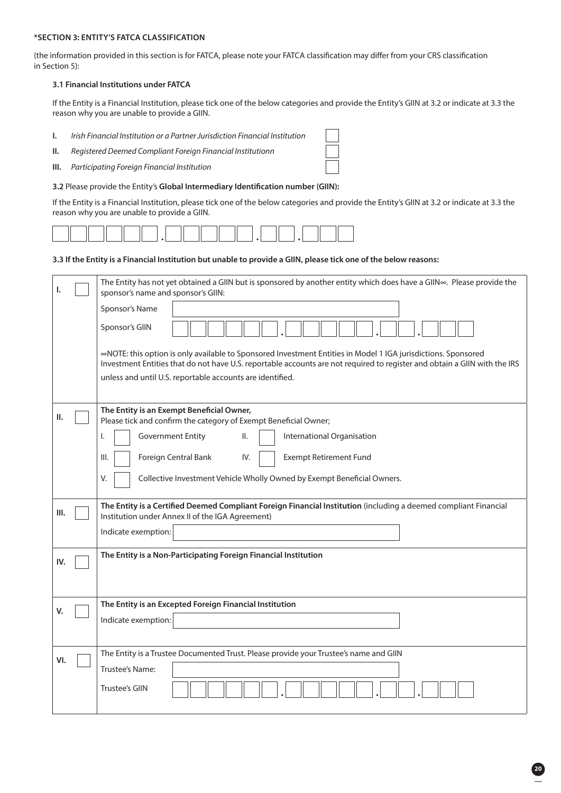### **\*SECTION 3: ENTITY'S FATCA CLASSIFICATION**

(the information provided in this section is for FATCA, please note your FATCA classification may differ from your CRS classification in Section 5):

### **3.1 Financial Institutions under FATCA**

 If the Entity is a Financial Institution, please tick one of the below categories and provide the Entity's GIIN at 3.2 or indicate at 3.3 the reason why you are unable to provide a GIIN.

- **I.** *Irish Financial Institution or a Partner Jurisdiction Financial Institution*
- **II.** *Registered Deemed Compliant Foreign Financial Institutionn*
- **III.** *Participating Foreign Financial Institution*
- **3.2** Please provide the Entity's **Global Intermediary Identification number (GIIN):**

 If the Entity is a Financial Institution, please tick one of the below categories and provide the Entity's GIIN at 3.2 or indicate at 3.3 the reason why you are unable to provide a GIIN.

|  | المستعاث لمستعا لمعتما لمستعا لمستعا كالمستعا لمست |  |  |
|--|----------------------------------------------------|--|--|
|  |                                                    |  |  |

### **3.3 If the Entity is a Financial Institution but unable to provide a GIIN, please tick one of the below reasons:**

| ı.   | The Entity has not yet obtained a GIIN but is sponsored by another entity which does have a GIIN«. Please provide the<br>sponsor's name and sponsor's GIIN:                                                                                                                                             |
|------|---------------------------------------------------------------------------------------------------------------------------------------------------------------------------------------------------------------------------------------------------------------------------------------------------------|
|      | Sponsor's Name                                                                                                                                                                                                                                                                                          |
|      | Sponsor's GIIN                                                                                                                                                                                                                                                                                          |
|      | «NOTE: this option is only available to Sponsored Investment Entities in Model 1 IGA jurisdictions. Sponsored<br>Investment Entities that do not have U.S. reportable accounts are not required to register and obtain a GIIN with the IRS<br>unless and until U.S. reportable accounts are identified. |
| Ш.   | The Entity is an Exempt Beneficial Owner,<br>Please tick and confirm the category of Exempt Beneficial Owner;                                                                                                                                                                                           |
|      | <b>Government Entity</b><br>II.<br>International Organisation<br>I.                                                                                                                                                                                                                                     |
|      | Foreign Central Bank<br><b>Exempt Retirement Fund</b><br>III.<br>IV.                                                                                                                                                                                                                                    |
|      | Collective Investment Vehicle Wholly Owned by Exempt Beneficial Owners.<br>V.                                                                                                                                                                                                                           |
| III. | The Entity is a Certified Deemed Compliant Foreign Financial Institution (including a deemed compliant Financial<br>Institution under Annex II of the IGA Agreement)                                                                                                                                    |
|      | Indicate exemption:                                                                                                                                                                                                                                                                                     |
| IV.  | The Entity is a Non-Participating Foreign Financial Institution                                                                                                                                                                                                                                         |
|      |                                                                                                                                                                                                                                                                                                         |
| V.   | The Entity is an Excepted Foreign Financial Institution                                                                                                                                                                                                                                                 |
|      | Indicate exemption:                                                                                                                                                                                                                                                                                     |
|      | The Entity is a Trustee Documented Trust. Please provide your Trustee's name and GIIN                                                                                                                                                                                                                   |
| VI.  | Trustee's Name:                                                                                                                                                                                                                                                                                         |
|      | <b>Trustee's GIIN</b>                                                                                                                                                                                                                                                                                   |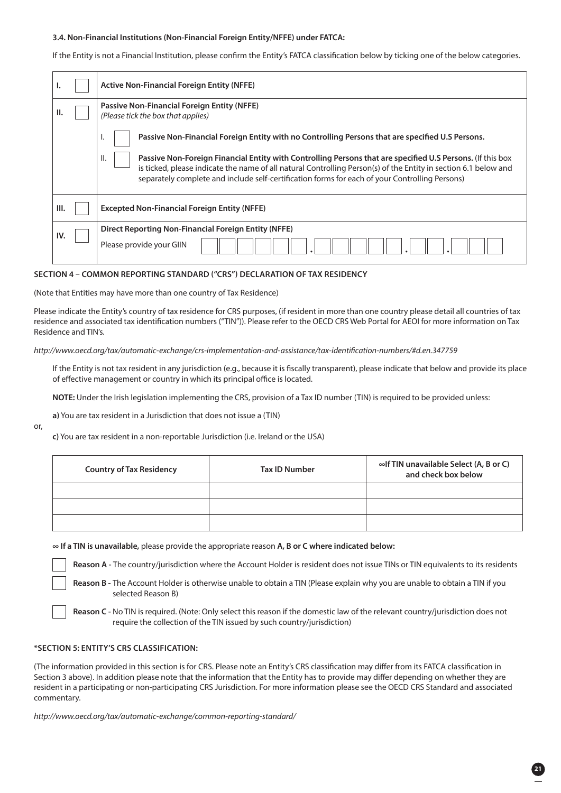### **3.4. Non-Financial Institutions (Non-Financial Foreign Entity/NFFE) under FATCA:**

If the Entity is not a Financial Institution, please confirm the Entity's FATCA classification below by ticking one of the below categories.

|     | <b>Active Non-Financial Foreign Entity (NFFE)</b>                                                                                                                                                                                                                                                                                                                                                                                               |  |
|-----|-------------------------------------------------------------------------------------------------------------------------------------------------------------------------------------------------------------------------------------------------------------------------------------------------------------------------------------------------------------------------------------------------------------------------------------------------|--|
| П.  | Passive Non-Financial Foreign Entity (NFFE)<br>(Please tick the box that applies)                                                                                                                                                                                                                                                                                                                                                               |  |
|     | Passive Non-Financial Foreign Entity with no Controlling Persons that are specified U.S Persons.<br>٠.<br>Ш.<br>Passive Non-Foreign Financial Entity with Controlling Persons that are specified U.S Persons. (If this box<br>is ticked, please indicate the name of all natural Controlling Person(s) of the Entity in section 6.1 below and<br>separately complete and include self-certification forms for each of your Controlling Persons) |  |
| Ш.  | <b>Excepted Non-Financial Foreign Entity (NFFE)</b>                                                                                                                                                                                                                                                                                                                                                                                             |  |
| IV. | Direct Reporting Non-Financial Foreign Entity (NFFE)<br>Please provide your GIIN                                                                                                                                                                                                                                                                                                                                                                |  |

### **SECTION 4 – COMMON REPORTING STANDARD ("CRS") DECLARATION OF TAX RESIDENCY**

(Note that Entities may have more than one country of Tax Residence)

Please indicate the Entity's country of tax residence for CRS purposes, (if resident in more than one country please detail all countries of tax residence and associated tax identification numbers ("TIN")). Please refer to the OECD CRS Web Portal for AEOI for more information on Tax Residence and TIN's.

*http://www.oecd.org/tax/automatic-exchange/crs-implementation-and-assistance/tax-identification-numbers/#d.en.347759* 

 If the Entity is not tax resident in any jurisdiction (e.g., because it is fiscally transparent), please indicate that below and provide its place of effective management or country in which its principal office is located.

**NOTE:** Under the Irish legislation implementing the CRS, provision of a Tax ID number (TIN) is required to be provided unless:

**a)** You are tax resident in a Jurisdiction that does not issue a (TIN)

or,

**c)** You are tax resident in a non-reportable Jurisdiction (i.e. Ireland or the USA)

| <b>Country of Tax Residency</b> | Tax ID Number | $\infty$ of TIN unavailable Select (A, B or C)<br>and check box below |
|---------------------------------|---------------|-----------------------------------------------------------------------|
|                                 |               |                                                                       |
|                                 |               |                                                                       |
|                                 |               |                                                                       |

**∞ If a TIN is unavailable,** please provide the appropriate reason **A, B or C where indicated below:**

**Reason A -** The country/jurisdiction where the Account Holder is resident does not issue TINs or TIN equivalents to its residents

 **Reason B -** The Account Holder is otherwise unable to obtain a TIN (Please explain why you are unable to obtain a TIN if you selected Reason B)

 **Reason C -** No TIN is required. (Note: Only select this reason if the domestic law of the relevant country/jurisdiction does not require the collection of the TIN issued by such country/jurisdiction)

### **\*SECTION 5: ENTITY'S CRS CLASSIFICATION:**

(The information provided in this section is for CRS. Please note an Entity's CRS classification may differ from its FATCA classification in Section 3 above). In addition please note that the information that the Entity has to provide may differ depending on whether they are resident in a participating or non-participating CRS Jurisdiction. For more information please see the OECD CRS Standard and associated commentary.

*http://www.oecd.org/tax/automatic-exchange/common-reporting-standard/*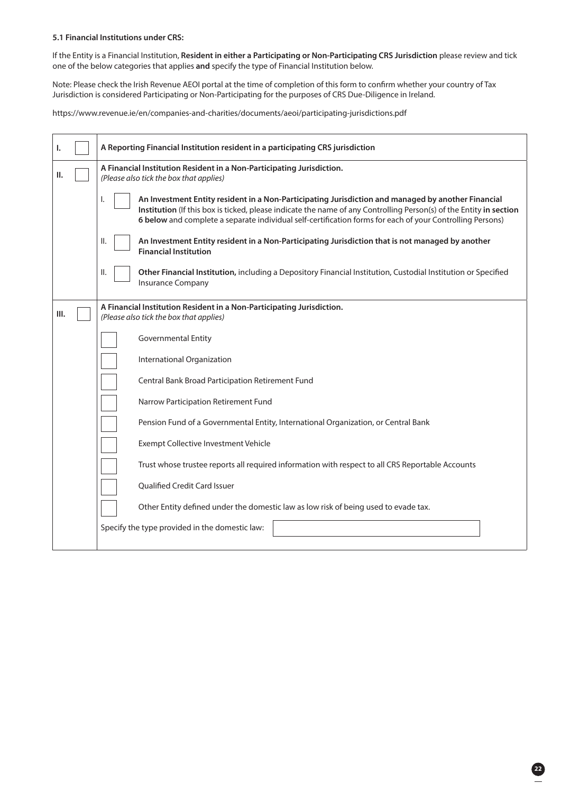### **5.1 Financial Institutions under CRS:**

 If the Entity is a Financial Institution, **Resident in either a Participating or Non-Participating CRS Jurisdiction** please review and tick one of the below categories that applies **and** specify the type of Financial Institution below.

 Note: Please check the Irish Revenue AEOI portal at the time of completion of this form to confirm whether your country of Tax Jurisdiction is considered Participating or Non-Participating for the purposes of CRS Due-Diligence in Ireland.

https://www.revenue.ie/en/companies-and-charities/documents/aeoi/participating-jurisdictions.pdf

| ı.   | A Reporting Financial Institution resident in a participating CRS jurisdiction                                                                                                                                                                                                                                                              |  |
|------|---------------------------------------------------------------------------------------------------------------------------------------------------------------------------------------------------------------------------------------------------------------------------------------------------------------------------------------------|--|
| Ш.   | A Financial Institution Resident in a Non-Participating Jurisdiction.<br>(Please also tick the box that applies)                                                                                                                                                                                                                            |  |
|      | An Investment Entity resident in a Non-Participating Jurisdiction and managed by another Financial<br>ı.<br>Institution (If this box is ticked, please indicate the name of any Controlling Person(s) of the Entity in section<br>6 below and complete a separate individual self-certification forms for each of your Controlling Persons) |  |
|      | An Investment Entity resident in a Non-Participating Jurisdiction that is not managed by another<br>Ⅱ.<br><b>Financial Institution</b>                                                                                                                                                                                                      |  |
|      | Other Financial Institution, including a Depository Financial Institution, Custodial Institution or Specified<br>Ш.<br><b>Insurance Company</b>                                                                                                                                                                                             |  |
| III. | A Financial Institution Resident in a Non-Participating Jurisdiction.<br>(Please also tick the box that applies)                                                                                                                                                                                                                            |  |
|      | <b>Governmental Entity</b>                                                                                                                                                                                                                                                                                                                  |  |
|      | International Organization                                                                                                                                                                                                                                                                                                                  |  |
|      | Central Bank Broad Participation Retirement Fund                                                                                                                                                                                                                                                                                            |  |
|      | Narrow Participation Retirement Fund                                                                                                                                                                                                                                                                                                        |  |
|      | Pension Fund of a Governmental Entity, International Organization, or Central Bank                                                                                                                                                                                                                                                          |  |
|      | Exempt Collective Investment Vehicle                                                                                                                                                                                                                                                                                                        |  |
|      | Trust whose trustee reports all required information with respect to all CRS Reportable Accounts                                                                                                                                                                                                                                            |  |
|      | <b>Oualified Credit Card Issuer</b>                                                                                                                                                                                                                                                                                                         |  |
|      | Other Entity defined under the domestic law as low risk of being used to evade tax.                                                                                                                                                                                                                                                         |  |
|      | Specify the type provided in the domestic law:                                                                                                                                                                                                                                                                                              |  |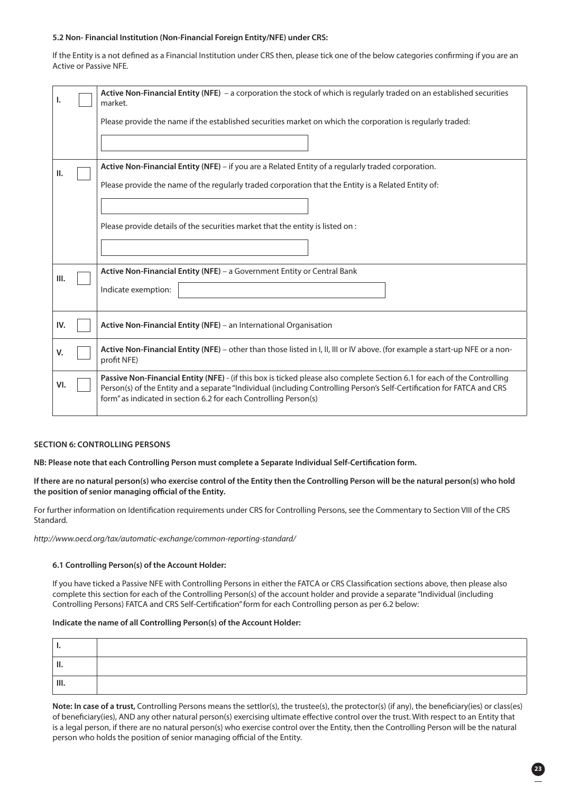### **5.2 Non- Financial Institution (Non-Financial Foreign Entity/NFE) under CRS:**

If the Entity is a not defined as a Financial Institution under CRS then, please tick one of the below categories confirming if you are an Active or Passive NFE.

|      | Active Non-Financial Entity (NFE) - a corporation the stock of which is regularly traded on an established securities<br>market.                                                                                                                                                                                        |  |
|------|-------------------------------------------------------------------------------------------------------------------------------------------------------------------------------------------------------------------------------------------------------------------------------------------------------------------------|--|
|      | Please provide the name if the established securities market on which the corporation is regularly traded:                                                                                                                                                                                                              |  |
|      |                                                                                                                                                                                                                                                                                                                         |  |
| Ш.   | Active Non-Financial Entity (NFE) - if you are a Related Entity of a regularly traded corporation.                                                                                                                                                                                                                      |  |
|      | Please provide the name of the regularly traded corporation that the Entity is a Related Entity of:                                                                                                                                                                                                                     |  |
|      |                                                                                                                                                                                                                                                                                                                         |  |
|      | Please provide details of the securities market that the entity is listed on:                                                                                                                                                                                                                                           |  |
|      |                                                                                                                                                                                                                                                                                                                         |  |
| III. | Active Non-Financial Entity (NFE) - a Government Entity or Central Bank                                                                                                                                                                                                                                                 |  |
|      | Indicate exemption:                                                                                                                                                                                                                                                                                                     |  |
|      |                                                                                                                                                                                                                                                                                                                         |  |
| IV.  | Active Non-Financial Entity (NFE) - an International Organisation                                                                                                                                                                                                                                                       |  |
| V.   | Active Non-Financial Entity (NFE) – other than those listed in I, II, III or IV above. (for example a start-up NFE or a non-<br>profit NFE)                                                                                                                                                                             |  |
| VI.  | Passive Non-Financial Entity (NFE) - (if this box is ticked please also complete Section 6.1 for each of the Controlling<br>Person(s) of the Entity and a separate "Individual (including Controlling Person's Self-Certification for FATCA and CRS<br>form" as indicated in section 6.2 for each Controlling Person(s) |  |
|      |                                                                                                                                                                                                                                                                                                                         |  |

### **SECTION 6: CONTROLLING PERSONS**

**NB: Please note that each Controlling Person must complete a Separate Individual Self-Certification form.** 

**If there are no natural person(s) who exercise control of the Entity then the Controlling Person will be the natural person(s) who hold the position of senior managing official of the Entity.** 

For further information on Identification requirements under CRS for Controlling Persons, see the Commentary to Section VIII of the CRS Standard.

*http://www.oecd.org/tax/automatic-exchange/common-reporting-standard/* 

### **6.1 Controlling Person(s) of the Account Holder:**

 If you have ticked a Passive NFE with Controlling Persons in either the FATCA or CRS Classification sections above, then please also complete this section for each of the Controlling Person(s) of the account holder and provide a separate "Individual (including Controlling Persons) FATCA and CRS Self-Certification" form for each Controlling person as per 6.2 below:

#### **Indicate the name of all Controlling Person(s) of the Account Holder:**

| Ш. |  |
|----|--|

**Note: In case of a trust,** Controlling Persons means the settlor(s), the trustee(s), the protector(s) (if any), the beneficiary(ies) or class(es) of beneficiary(ies), AND any other natural person(s) exercising ultimate effective control over the trust. With respect to an Entity that is a legal person, if there are no natural person(s) who exercise control over the Entity, then the Controlling Person will be the natural person who holds the position of senior managing official of the Entity.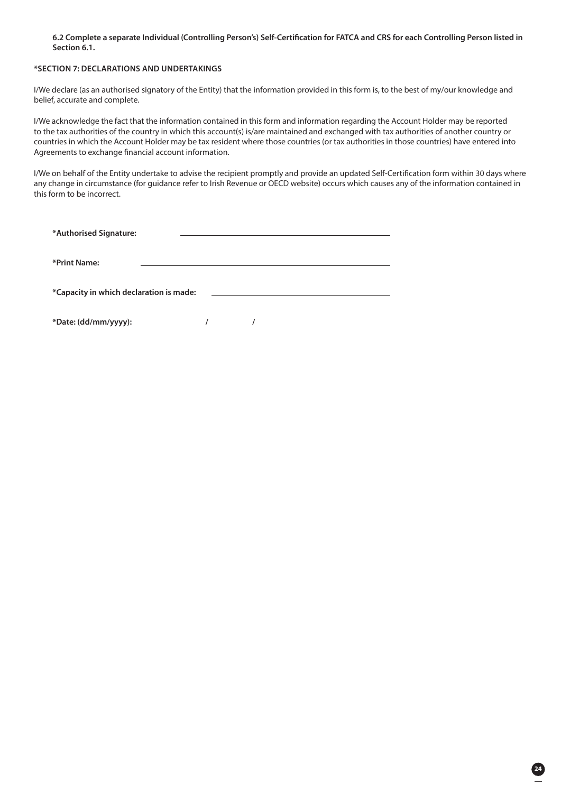### **6.2 Complete a separate Individual (Controlling Person's) Self-Certification for FATCA and CRS for each Controlling Person listed in Section 6.1.**

### **\*SECTION 7: DECLARATIONS AND UNDERTAKINGS**

I/We declare (as an authorised signatory of the Entity) that the information provided in this form is, to the best of my/our knowledge and belief, accurate and complete.

I/We acknowledge the fact that the information contained in this form and information regarding the Account Holder may be reported to the tax authorities of the country in which this account(s) is/are maintained and exchanged with tax authorities of another country or countries in which the Account Holder may be tax resident where those countries (or tax authorities in those countries) have entered into Agreements to exchange financial account information.

I/We on behalf of the Entity undertake to advise the recipient promptly and provide an updated Self-Certification form within 30 days where any change in circumstance (for guidance refer to Irish Revenue or OECD website) occurs which causes any of the information contained in this form to be incorrect.

| *Authorised Signature:                  |  |
|-----------------------------------------|--|
|                                         |  |
|                                         |  |
| *Print Name:                            |  |
|                                         |  |
|                                         |  |
| *Capacity in which declaration is made: |  |
|                                         |  |

**\*Date: (dd/mm/yyyy): / /**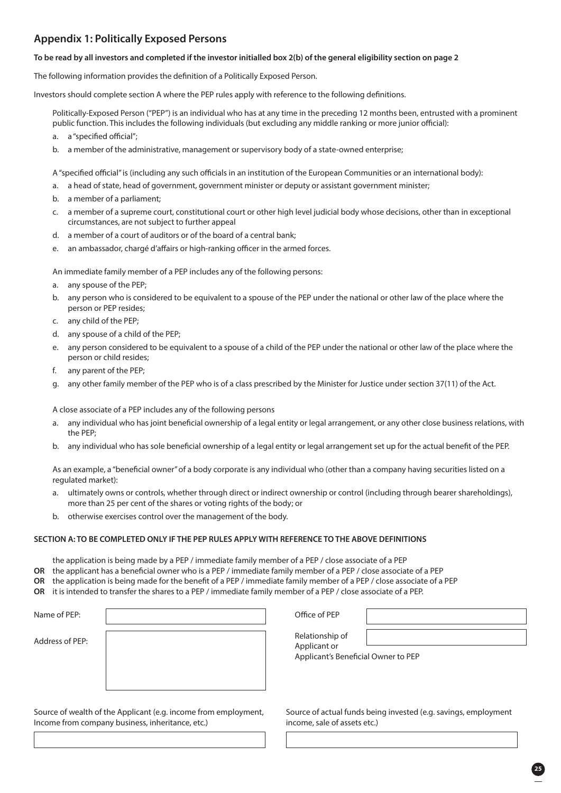### **Appendix 1: Politically Exposed Persons**

### **To be read by all investors and completed if the investor initialled box 2(b) of the general eligibility section on page 2**

The following information provides the definition of a Politically Exposed Person.

Investors should complete section A where the PEP rules apply with reference to the following definitions.

 Politically-Exposed Person ("PEP") is an individual who has at any time in the preceding 12 months been, entrusted with a prominent public function. This includes the following individuals (but excluding any middle ranking or more junior official):

- a. a "specified official";
- b. a member of the administrative, management or supervisory body of a state-owned enterprise;

A "specified official" is (including any such officials in an institution of the European Communities or an international body):

- a. a head of state, head of government, government minister or deputy or assistant government minister;
- b. a member of a parliament;
- c. a member of a supreme court, constitutional court or other high level judicial body whose decisions, other than in exceptional circumstances, are not subject to further appeal
- d. a member of a court of auditors or of the board of a central bank;
- e. an ambassador, chargé d'affairs or high-ranking officer in the armed forces.

An immediate family member of a PEP includes any of the following persons:

- a. any spouse of the PEP;
- b. any person who is considered to be equivalent to a spouse of the PEP under the national or other law of the place where the person or PEP resides;
- c. any child of the PEP;
- d. any spouse of a child of the PEP;
- e. any person considered to be equivalent to a spouse of a child of the PEP under the national or other law of the place where the person or child resides;
- f. any parent of the PEP;
- g. any other family member of the PEP who is of a class prescribed by the Minister for Justice under section 37(11) of the Act.

A close associate of a PEP includes any of the following persons

- a. any individual who has joint beneficial ownership of a legal entity or legal arrangement, or any other close business relations, with the PEP;
- b. any individual who has sole beneficial ownership of a legal entity or legal arrangement set up for the actual benefit of the PEP.

 As an example, a "beneficial owner" of a body corporate is any individual who (other than a company having securities listed on a regulated market):

- a. ultimately owns or controls, whether through direct or indirect ownership or control (including through bearer shareholdings), more than 25 per cent of the shares or voting rights of the body; or
- b. otherwise exercises control over the management of the body.

### **SECTION A: TO BE COMPLETED ONLY IF THE PEP RULES APPLY WITH REFERENCE TO THE ABOVE DEFINITIONS**

- the application is being made by a PEP / immediate family member of a PEP / close associate of a PEP
- **OR** the applicant has a beneficial owner who is a PEP / immediate family member of a PEP / close associate of a PEP
- **OR** the application is being made for the benefit of a PEP / immediate family member of a PEP / close associate of a PEP
- **OR** it is intended to transfer the shares to a PEP / immediate family member of a PEP / close associate of a PEP.

Name of PEP:

Address of PEP:

Relationship of

Applicant or Applicant's Beneficial Owner to PEP

Source of wealth of the Applicant (e.g. income from employment, Income from company business, inheritance, etc.)

| Source of actual funds being invested (e.g. savings, employment |  |
|-----------------------------------------------------------------|--|
| income, sale of assets etc.)                                    |  |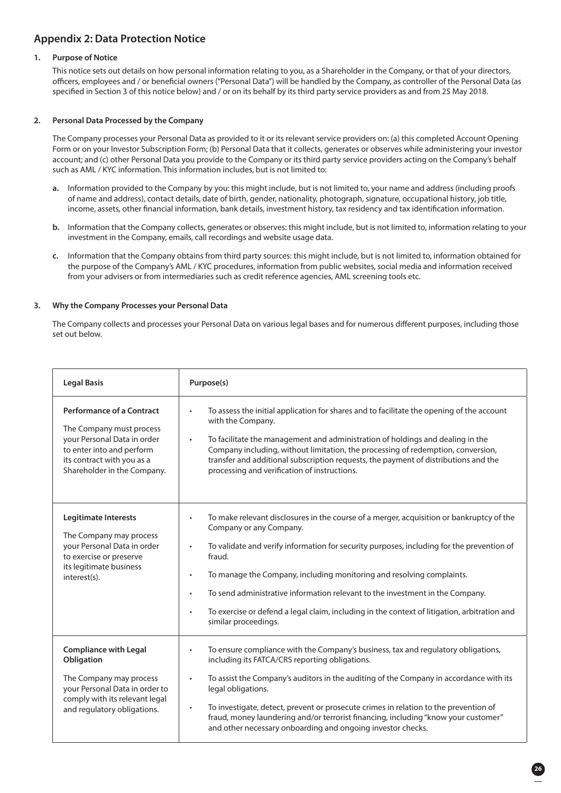### **Appendix 2: Data Protection Notice**

### **1. Purpose of Notice**

This notice sets out details on how personal information relating to you, as a Shareholder in the Company, or that of your directors, officers, employees and / or beneficial owners ("Personal Data") will be handled by the Company, as controller of the Personal Data (as specified in Section 3 of this notice below) and / or on its behalf by its third party service providers as and from 25 May 2018.

### **2. Personal Data Processed by the Company**

The Company processes your Personal Data as provided to it or its relevant service providers on: (a) this completed Account Opening Form or on your Investor Subscription Form; (b) Personal Data that it collects, generates or observes while administering your investor account; and (c) other Personal Data you provide to the Company or its third party service providers acting on the Company's behalf such as AML / KYC information. This information includes, but is not limited to:

- **a.** Information provided to the Company by you: this might include, but is not limited to, your name and address (including proofs of name and address), contact details, date of birth, gender, nationality, photograph, signature, occupational history, job title, income, assets, other financial information, bank details, investment history, tax residency and tax identification information.
- **b.** Information that the Company collects, generates or observes: this might include, but is not limited to, information relating to your investment in the Company, emails, call recordings and website usage data.
- **c.** Information that the Company obtains from third party sources: this might include, but is not limited to, information obtained for the purpose of the Company's AML / KYC procedures, information from public websites, social media and information received from your advisers or from intermediaries such as credit reference agencies, AML screening tools etc.

### **3. Why the Company Processes your Personal Data**

The Company collects and processes your Personal Data on various legal bases and for numerous different purposes, including those set out below.

| <b>Legal Basis</b>                                                                                                                                                                    | Purpose(s)                                                                                                                                                                                                                                                                                                                                                                                                                                                                                                                                                                    |
|---------------------------------------------------------------------------------------------------------------------------------------------------------------------------------------|-------------------------------------------------------------------------------------------------------------------------------------------------------------------------------------------------------------------------------------------------------------------------------------------------------------------------------------------------------------------------------------------------------------------------------------------------------------------------------------------------------------------------------------------------------------------------------|
| <b>Performance of a Contract</b><br>The Company must process<br>your Personal Data in order<br>to enter into and perform<br>its contract with you as a<br>Shareholder in the Company. | To assess the initial application for shares and to facilitate the opening of the account<br>with the Company.<br>To facilitate the management and administration of holdings and dealing in the<br>$\bullet$<br>Company including, without limitation, the processing of redemption, conversion,<br>transfer and additional subscription requests, the payment of distributions and the<br>processing and verification of instructions.                                                                                                                                      |
| Legitimate Interests<br>The Company may process<br>your Personal Data in order<br>to exercise or preserve<br>its legitimate business<br>interest(s).                                  | To make relevant disclosures in the course of a merger, acquisition or bankruptcy of the<br>$\bullet$<br>Company or any Company.<br>To validate and verify information for security purposes, including for the prevention of<br>$\bullet$<br>fraud.<br>To manage the Company, including monitoring and resolving complaints.<br>$\bullet$<br>To send administrative information relevant to the investment in the Company.<br>$\bullet$<br>To exercise or defend a legal claim, including in the context of litigation, arbitration and<br>$\bullet$<br>similar proceedings. |
| <b>Compliance with Legal</b><br>Obligation<br>The Company may process<br>your Personal Data in order to<br>comply with its relevant legal<br>and regulatory obligations.              | To ensure compliance with the Company's business, tax and regulatory obligations,<br>$\bullet$<br>including its FATCA/CRS reporting obligations.<br>To assist the Company's auditors in the auditing of the Company in accordance with its<br>legal obligations.<br>To investigate, detect, prevent or prosecute crimes in relation to the prevention of<br>$\bullet$<br>fraud, money laundering and/or terrorist financing, including "know your customer"<br>and other necessary onboarding and ongoing investor checks.                                                    |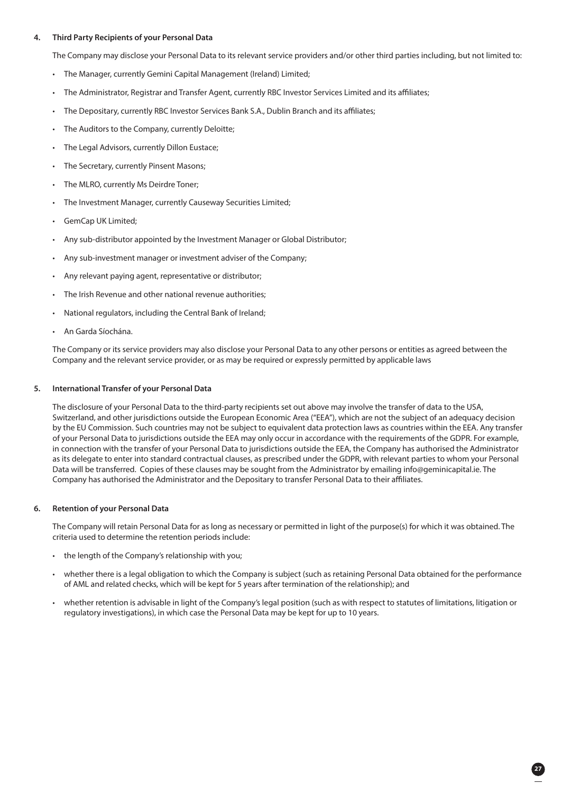### **4. Third Party Recipients of your Personal Data**

The Company may disclose your Personal Data to its relevant service providers and/or other third parties including, but not limited to:

- The Manager, currently Gemini Capital Management (Ireland) Limited;
- The Administrator, Registrar and Transfer Agent, currently RBC Investor Services Limited and its affiliates;
- The Depositary, currently RBC Investor Services Bank S.A., Dublin Branch and its affiliates;
- The Auditors to the Company, currently Deloitte;
- The Legal Advisors, currently Dillon Eustace;
- The Secretary, currently Pinsent Masons;
- The MLRO, currently Ms Deirdre Toner;
- The Investment Manager, currently Causeway Securities Limited;
- GemCap UK Limited;
- Any sub-distributor appointed by the Investment Manager or Global Distributor;
- Any sub-investment manager or investment adviser of the Company;
- Any relevant paying agent, representative or distributor;
- The Irish Revenue and other national revenue authorities:
- National regulators, including the Central Bank of Ireland;
- An Garda Síochána.

 The Company or its service providers may also disclose your Personal Data to any other persons or entities as agreed between the Company and the relevant service provider, or as may be required or expressly permitted by applicable laws

### **5. International Transfer of your Personal Data**

 The disclosure of your Personal Data to the third-party recipients set out above may involve the transfer of data to the USA, Switzerland, and other jurisdictions outside the European Economic Area ("EEA"), which are not the subject of an adequacy decision by the EU Commission. Such countries may not be subject to equivalent data protection laws as countries within the EEA. Any transfer of your Personal Data to jurisdictions outside the EEA may only occur in accordance with the requirements of the GDPR. For example, in connection with the transfer of your Personal Data to jurisdictions outside the EEA, the Company has authorised the Administrator as its delegate to enter into standard contractual clauses, as prescribed under the GDPR, with relevant parties to whom your Personal Data will be transferred. Copies of these clauses may be sought from the Administrator by emailing info@geminicapital.ie. The Company has authorised the Administrator and the Depositary to transfer Personal Data to their affiliates.

### **6. Retention of your Personal Data**

 The Company will retain Personal Data for as long as necessary or permitted in light of the purpose(s) for which it was obtained. The criteria used to determine the retention periods include:

- the length of the Company's relationship with you;
- whether there is a legal obligation to which the Company is subject (such as retaining Personal Data obtained for the performance of AML and related checks, which will be kept for 5 years after termination of the relationship); and
- whether retention is advisable in light of the Company's legal position (such as with respect to statutes of limitations, litigation or regulatory investigations), in which case the Personal Data may be kept for up to 10 years.